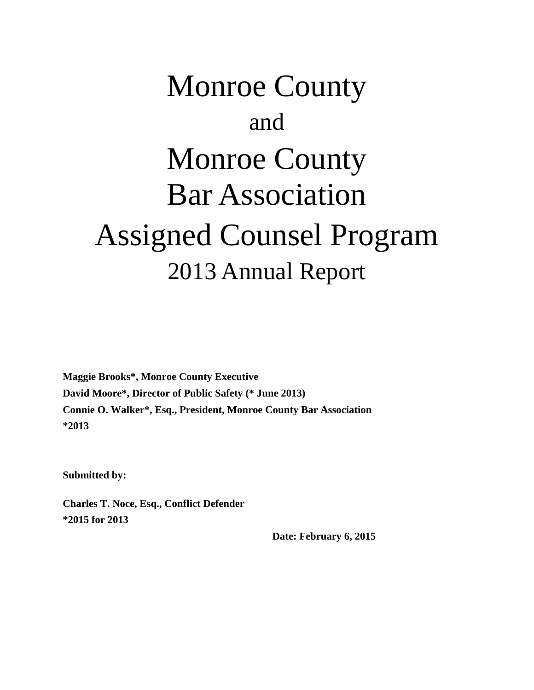# Monroe County and Monroe County Bar Association Assigned Counsel Program 2013 Annual Report

**Maggie Brooks\*, Monroe County Executive David Moore\*, Director of Public Safety (\* June 2013) Connie O. Walker\*, Esq., President, Monroe County Bar Association \*2013**

**Submitted by:**

**Charles T. Noce, Esq., Conflict Defender \*2015 for 2013**

 **Date: February 6, 2015**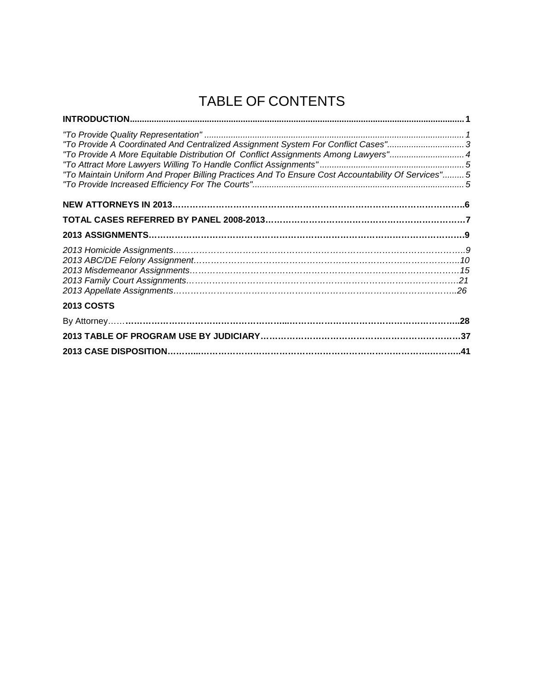## TABLE OF CONTENTS

| "To Provide A Coordinated And Centralized Assignment System For Conflict Cases" 3<br>"To Provide A More Equitable Distribution Of Conflict Assignments Among Lawyers"4<br>"To Maintain Uniform And Proper Billing Practices And To Ensure Cost Accountability Of Services" 5 |  |
|------------------------------------------------------------------------------------------------------------------------------------------------------------------------------------------------------------------------------------------------------------------------------|--|
|                                                                                                                                                                                                                                                                              |  |
|                                                                                                                                                                                                                                                                              |  |
|                                                                                                                                                                                                                                                                              |  |
|                                                                                                                                                                                                                                                                              |  |
| <b>2013 COSTS</b>                                                                                                                                                                                                                                                            |  |
|                                                                                                                                                                                                                                                                              |  |
|                                                                                                                                                                                                                                                                              |  |
|                                                                                                                                                                                                                                                                              |  |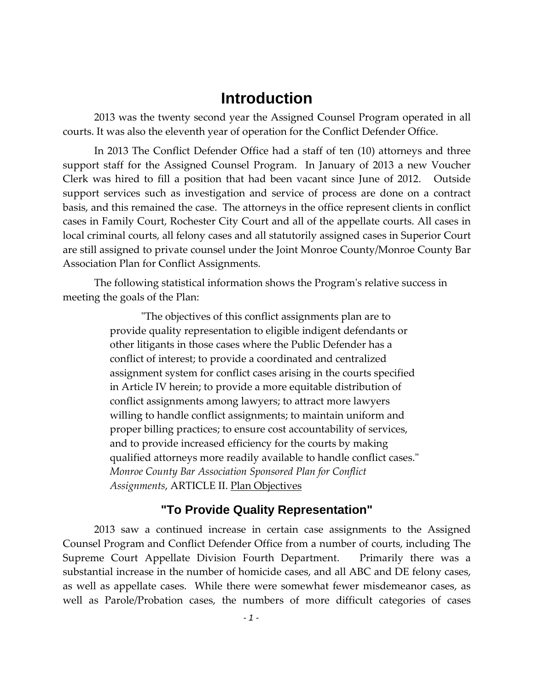## **Introduction**

2013 was the twenty second year the Assigned Counsel Program operated in all courts. It was also the eleventh year of operation for the Conflict Defender Office.

In 2013 The Conflict Defender Office had a staff of ten (10) attorneys and three support staff for the Assigned Counsel Program. In January of 2013 a new Voucher Clerk was hired to fill a position that had been vacant since June of 2012. Outside support services such as investigation and service of process are done on a contract basis, and this remained the case. The attorneys in the office represent clients in conflict cases in Family Court, Rochester City Court and all of the appellate courts. All cases in local criminal courts, all felony cases and all statutorily assigned cases in Superior Court are still assigned to private counsel under the Joint Monroe County/Monroe County Bar Association Plan for Conflict Assignments.

The following statistical information shows the Program's relative success in meeting the goals of the Plan:

> "The objectives of this conflict assignments plan are to provide quality representation to eligible indigent defendants or other litigants in those cases where the Public Defender has a conflict of interest; to provide a coordinated and centralized assignment system for conflict cases arising in the courts specified in Article IV herein; to provide a more equitable distribution of conflict assignments among lawyers; to attract more lawyers willing to handle conflict assignments; to maintain uniform and proper billing practices; to ensure cost accountability of services, and to provide increased efficiency for the courts by making qualified attorneys more readily available to handle conflict cases." *Monroe County Bar Association Sponsored Plan for Conflict Assignments*, ARTICLE II. Plan Objectives

#### **"To Provide Quality Representation"**

2013 saw a continued increase in certain case assignments to the Assigned Counsel Program and Conflict Defender Office from a number of courts, including The Supreme Court Appellate Division Fourth Department. Primarily there was a substantial increase in the number of homicide cases, and all ABC and DE felony cases, as well as appellate cases. While there were somewhat fewer misdemeanor cases, as well as Parole/Probation cases, the numbers of more difficult categories of cases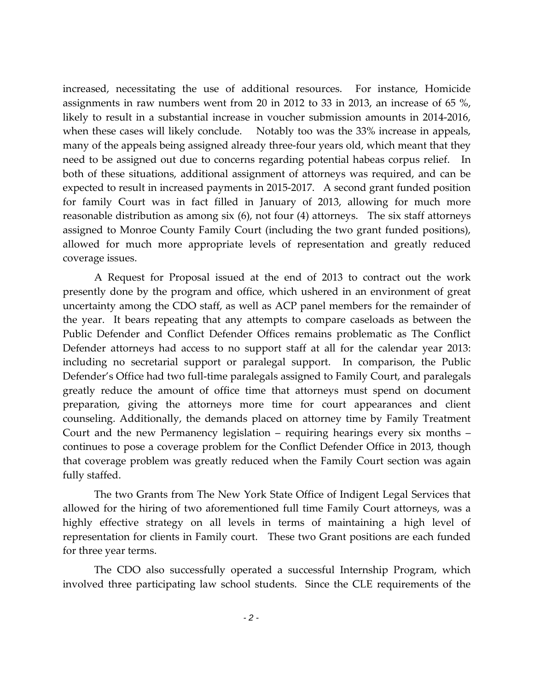increased, necessitating the use of additional resources. For instance, Homicide assignments in raw numbers went from 20 in 2012 to 33 in 2013, an increase of 65 %, likely to result in a substantial increase in voucher submission amounts in 2014-2016, when these cases will likely conclude. Notably too was the 33% increase in appeals, many of the appeals being assigned already three-four years old, which meant that they need to be assigned out due to concerns regarding potential habeas corpus relief. In both of these situations, additional assignment of attorneys was required, and can be expected to result in increased payments in 2015-2017. A second grant funded position for family Court was in fact filled in January of 2013, allowing for much more reasonable distribution as among six (6), not four (4) attorneys. The six staff attorneys assigned to Monroe County Family Court (including the two grant funded positions), allowed for much more appropriate levels of representation and greatly reduced coverage issues.

A Request for Proposal issued at the end of 2013 to contract out the work presently done by the program and office, which ushered in an environment of great uncertainty among the CDO staff, as well as ACP panel members for the remainder of the year. It bears repeating that any attempts to compare caseloads as between the Public Defender and Conflict Defender Offices remains problematic as The Conflict Defender attorneys had access to no support staff at all for the calendar year 2013: including no secretarial support or paralegal support. In comparison, the Public Defender's Office had two full-time paralegals assigned to Family Court, and paralegals greatly reduce the amount of office time that attorneys must spend on document preparation, giving the attorneys more time for court appearances and client counseling. Additionally, the demands placed on attorney time by Family Treatment Court and the new Permanency legislation – requiring hearings every six months – continues to pose a coverage problem for the Conflict Defender Office in 2013, though that coverage problem was greatly reduced when the Family Court section was again fully staffed.

The two Grants from The New York State Office of Indigent Legal Services that allowed for the hiring of two aforementioned full time Family Court attorneys, was a highly effective strategy on all levels in terms of maintaining a high level of representation for clients in Family court. These two Grant positions are each funded for three year terms.

The CDO also successfully operated a successful Internship Program, which involved three participating law school students. Since the CLE requirements of the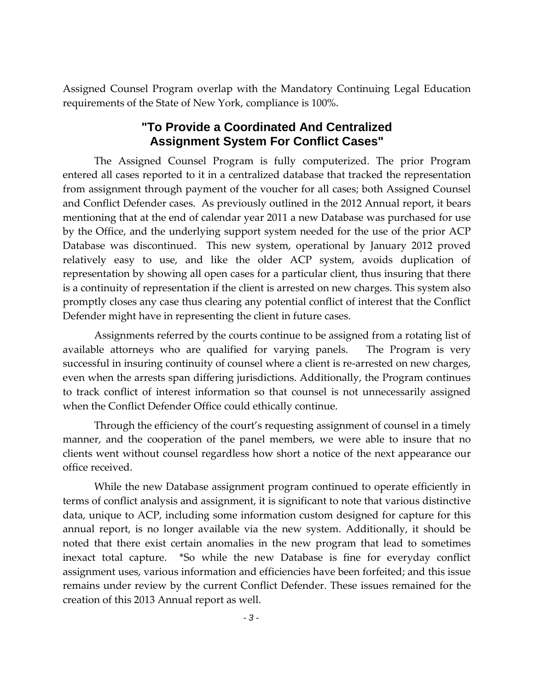Assigned Counsel Program overlap with the Mandatory Continuing Legal Education requirements of the State of New York, compliance is 100%.

#### **"To Provide a Coordinated And Centralized Assignment System For Conflict Cases"**

The Assigned Counsel Program is fully computerized. The prior Program entered all cases reported to it in a centralized database that tracked the representation from assignment through payment of the voucher for all cases; both Assigned Counsel and Conflict Defender cases. As previously outlined in the 2012 Annual report, it bears mentioning that at the end of calendar year 2011 a new Database was purchased for use by the Office, and the underlying support system needed for the use of the prior ACP Database was discontinued. This new system, operational by January 2012 proved relatively easy to use, and like the older ACP system, avoids duplication of representation by showing all open cases for a particular client, thus insuring that there is a continuity of representation if the client is arrested on new charges. This system also promptly closes any case thus clearing any potential conflict of interest that the Conflict Defender might have in representing the client in future cases.

Assignments referred by the courts continue to be assigned from a rotating list of available attorneys who are qualified for varying panels. The Program is very successful in insuring continuity of counsel where a client is re-arrested on new charges, even when the arrests span differing jurisdictions. Additionally, the Program continues to track conflict of interest information so that counsel is not unnecessarily assigned when the Conflict Defender Office could ethically continue.

Through the efficiency of the court's requesting assignment of counsel in a timely manner, and the cooperation of the panel members, we were able to insure that no clients went without counsel regardless how short a notice of the next appearance our office received.

While the new Database assignment program continued to operate efficiently in terms of conflict analysis and assignment, it is significant to note that various distinctive data, unique to ACP, including some information custom designed for capture for this annual report, is no longer available via the new system. Additionally, it should be noted that there exist certain anomalies in the new program that lead to sometimes inexact total capture. \*So while the new Database is fine for everyday conflict assignment uses, various information and efficiencies have been forfeited; and this issue remains under review by the current Conflict Defender. These issues remained for the creation of this 2013 Annual report as well.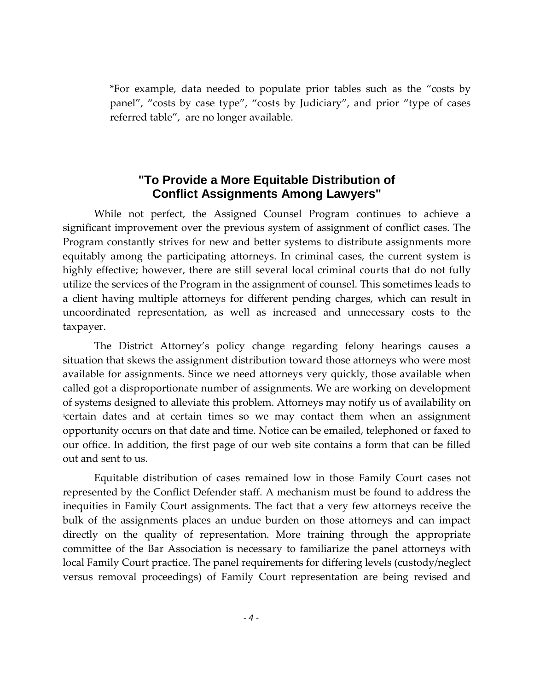\*For example, data needed to populate prior tables such as the "costs by panel", "costs by case type", "costs by Judiciary", and prior "type of cases referred table", are no longer available.

#### **"To Provide a More Equitable Distribution of Conflict Assignments Among Lawyers"**

While not perfect, the Assigned Counsel Program continues to achieve a significant improvement over the previous system of assignment of conflict cases. The Program constantly strives for new and better systems to distribute assignments more equitably among the participating attorneys. In criminal cases, the current system is highly effective; however, there are still several local criminal courts that do not fully utilize the services of the Program in the assignment of counsel. This sometimes leads to a client having multiple attorneys for different pending charges, which can result in uncoordinated representation, as well as increased and unnecessary costs to the taxpayer.

The District Attorney's policy change regarding felony hearings causes a situation that skews the assignment distribution toward those attorneys who were most available for assignments. Since we need attorneys very quickly, those available when called got a disproportionate number of assignments. We are working on development of systems designed to alleviate this problem. Attorneys may notify us of availability on [i](#page-42-0) certain dates and at certain times so we may contact them when an assignment opportunity occurs on that date and time. Notice can be emailed, telephoned or faxed to our office. In addition, the first page of our web site contains a form that can be filled out and sent to us.

Equitable distribution of cases remained low in those Family Court cases not represented by the Conflict Defender staff. A mechanism must be found to address the inequities in Family Court assignments. The fact that a very few attorneys receive the bulk of the assignments places an undue burden on those attorneys and can impact directly on the quality of representation. More training through the appropriate committee of the Bar Association is necessary to familiarize the panel attorneys with local Family Court practice. The panel requirements for differing levels (custody/neglect versus removal proceedings) of Family Court representation are being revised and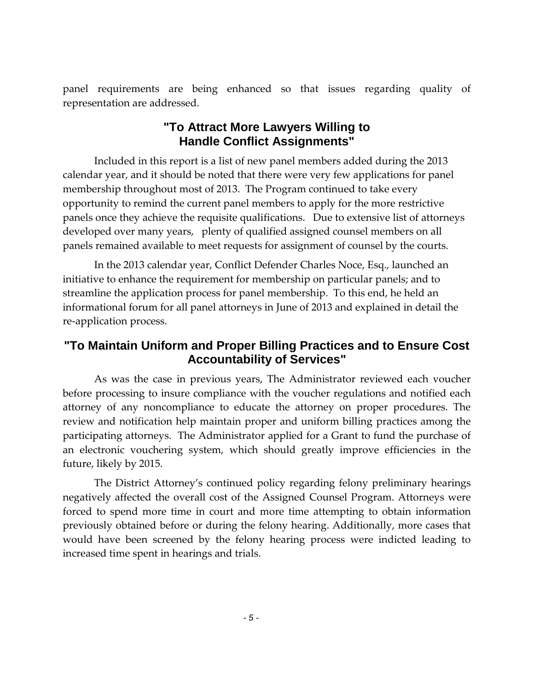panel requirements are being enhanced so that issues regarding quality of representation are addressed.

#### **"To Attract More Lawyers Willing to Handle Conflict Assignments"**

Included in this report is a list of new panel members added during the 2013 calendar year, and it should be noted that there were very few applications for panel membership throughout most of 2013. The Program continued to take every opportunity to remind the current panel members to apply for the more restrictive panels once they achieve the requisite qualifications. Due to extensive list of attorneys developed over many years, plenty of qualified assigned counsel members on all panels remained available to meet requests for assignment of counsel by the courts.

In the 2013 calendar year, Conflict Defender Charles Noce, Esq., launched an initiative to enhance the requirement for membership on particular panels; and to streamline the application process for panel membership. To this end, he held an informational forum for all panel attorneys in June of 2013 and explained in detail the re-application process.

#### **"To Maintain Uniform and Proper Billing Practices and to Ensure Cost Accountability of Services"**

As was the case in previous years, The Administrator reviewed each voucher before processing to insure compliance with the voucher regulations and notified each attorney of any noncompliance to educate the attorney on proper procedures. The review and notification help maintain proper and uniform billing practices among the participating attorneys. The Administrator applied for a Grant to fund the purchase of an electronic vouchering system, which should greatly improve efficiencies in the future, likely by 2015.

The District Attorney's continued policy regarding felony preliminary hearings negatively affected the overall cost of the Assigned Counsel Program. Attorneys were forced to spend more time in court and more time attempting to obtain information previously obtained before or during the felony hearing. Additionally, more cases that would have been screened by the felony hearing process were indicted leading to increased time spent in hearings and trials.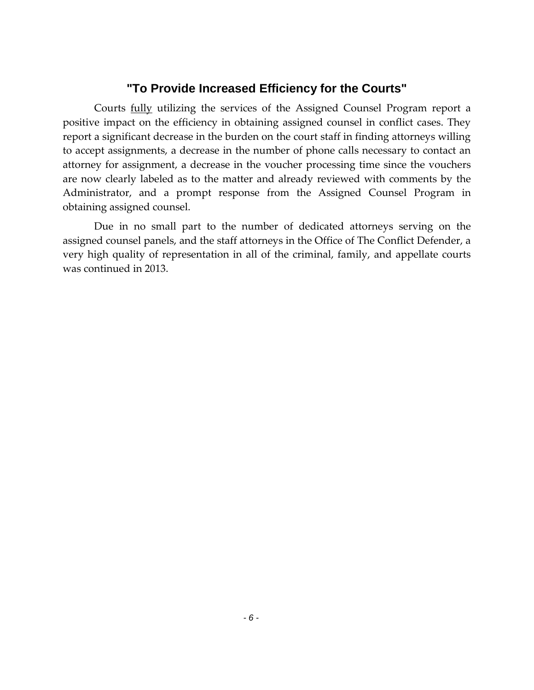#### **"To Provide Increased Efficiency for the Courts"**

Courts fully utilizing the services of the Assigned Counsel Program report a positive impact on the efficiency in obtaining assigned counsel in conflict cases. They report a significant decrease in the burden on the court staff in finding attorneys willing to accept assignments, a decrease in the number of phone calls necessary to contact an attorney for assignment, a decrease in the voucher processing time since the vouchers are now clearly labeled as to the matter and already reviewed with comments by the Administrator, and a prompt response from the Assigned Counsel Program in obtaining assigned counsel.

Due in no small part to the number of dedicated attorneys serving on the assigned counsel panels, and the staff attorneys in the Office of The Conflict Defender, a very high quality of representation in all of the criminal, family, and appellate courts was continued in 2013.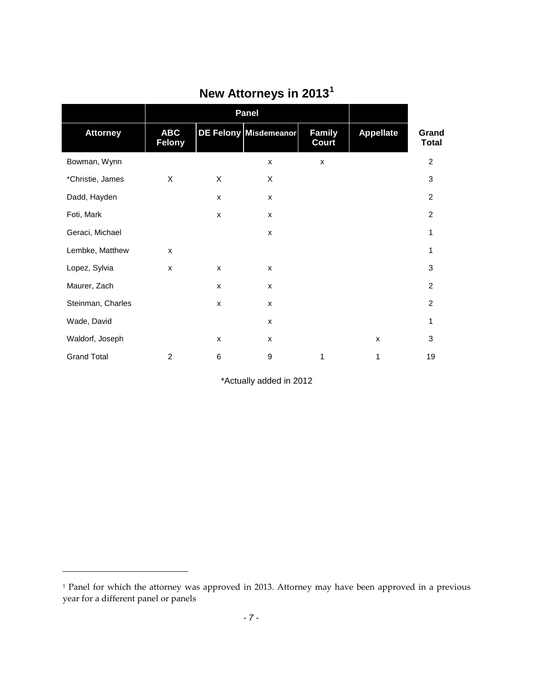|                    | <b>Panel</b>                |                |                       |                               |                  |                       |
|--------------------|-----------------------------|----------------|-----------------------|-------------------------------|------------------|-----------------------|
| <b>Attorney</b>    | <b>ABC</b><br><b>Felony</b> |                | DE Felony Misdemeanor | <b>Family</b><br><b>Court</b> | <b>Appellate</b> | Grand<br><b>Total</b> |
| Bowman, Wynn       |                             |                | X                     | X                             |                  | $\overline{2}$        |
| *Christie, James   | X                           | X              | X                     |                               |                  | 3                     |
| Dadd, Hayden       |                             | X              | X                     |                               |                  | $\overline{2}$        |
| Foti, Mark         |                             | X              | $\pmb{\mathsf{x}}$    |                               |                  | $\overline{c}$        |
| Geraci, Michael    |                             |                | $\pmb{\mathsf{x}}$    |                               |                  | 1                     |
| Lembke, Matthew    | X                           |                |                       |                               |                  | 1                     |
| Lopez, Sylvia      | X                           | $\pmb{\times}$ | $\pmb{\times}$        |                               |                  | 3                     |
| Maurer, Zach       |                             | X              | X                     |                               |                  | $\overline{c}$        |
| Steinman, Charles  |                             | X              | X                     |                               |                  | $\overline{c}$        |
| Wade, David        |                             |                | X                     |                               |                  | 1                     |
| Waldorf, Joseph    |                             | $\pmb{\times}$ | X                     |                               | X                | 3                     |
| <b>Grand Total</b> | 2                           | $\,6$          | 9                     | 1                             | 1                | 19                    |

# **New Attorneys in 2013[1](#page-8-0)**

\*Actually added in 2012

 $\overline{\phantom{a}}$ 

<span id="page-8-0"></span><sup>&</sup>lt;sup>1</sup> Panel for which the attorney was approved in 2013. Attorney may have been approved in a previous year for a different panel or panels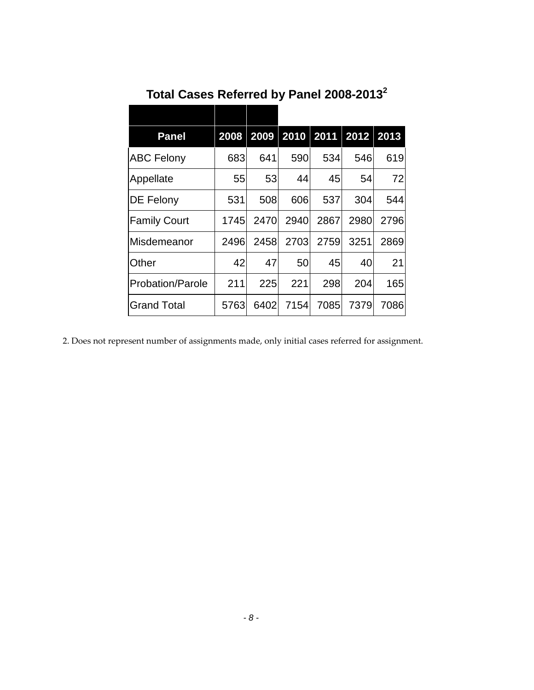| <b>Panel</b>            | 2008 |      | 2009 2010 2011 |      | 2012 2013 |      |
|-------------------------|------|------|----------------|------|-----------|------|
| <b>ABC Felony</b>       | 683  | 641  | 590            | 534  | 546       | 619  |
| Appellate               | 55   | 53   | 44             | 45   | 54        | 72   |
| DE Felony               | 531  | 508  | 606            | 537  | 304       | 544  |
| <b>Family Court</b>     | 1745 | 2470 | 2940           | 2867 | 2980      | 2796 |
| Misdemeanor             | 2496 | 2458 | 2703           | 2759 | 3251      | 2869 |
| Other                   | 42   | 47   | 50             | 45   | 40        | 21   |
| <b>Probation/Parole</b> | 211  | 225  | 221            | 298  | 204       | 165  |
| Grand Total             | 5763 | 6402 | 7154           | 7085 | 7379      | 7086 |

**Total Cases Referred by Panel 2008-20132**

2. Does not represent number of assignments made, only initial cases referred for assignment.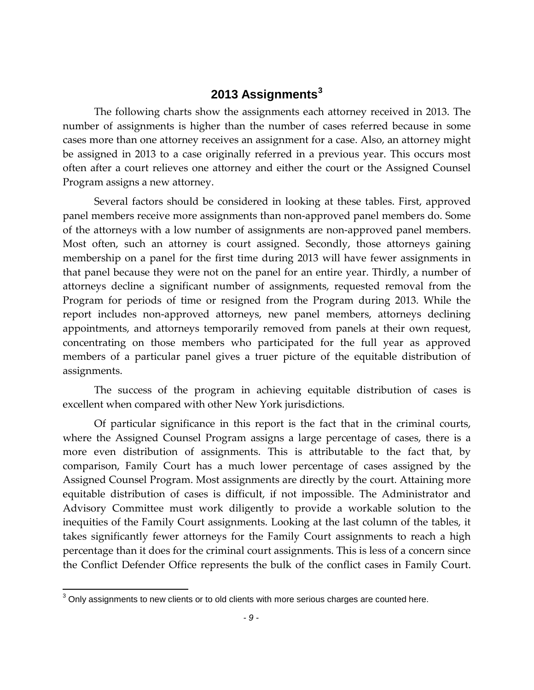#### **2013 Assignments[3](#page-10-0)**

The following charts show the assignments each attorney received in 2013. The number of assignments is higher than the number of cases referred because in some cases more than one attorney receives an assignment for a case. Also, an attorney might be assigned in 2013 to a case originally referred in a previous year. This occurs most often after a court relieves one attorney and either the court or the Assigned Counsel Program assigns a new attorney.

Several factors should be considered in looking at these tables. First, approved panel members receive more assignments than non-approved panel members do. Some of the attorneys with a low number of assignments are non-approved panel members. Most often, such an attorney is court assigned. Secondly, those attorneys gaining membership on a panel for the first time during 2013 will have fewer assignments in that panel because they were not on the panel for an entire year. Thirdly, a number of attorneys decline a significant number of assignments, requested removal from the Program for periods of time or resigned from the Program during 2013. While the report includes non-approved attorneys, new panel members, attorneys declining appointments, and attorneys temporarily removed from panels at their own request, concentrating on those members who participated for the full year as approved members of a particular panel gives a truer picture of the equitable distribution of assignments.

The success of the program in achieving equitable distribution of cases is excellent when compared with other New York jurisdictions.

Of particular significance in this report is the fact that in the criminal courts, where the Assigned Counsel Program assigns a large percentage of cases, there is a more even distribution of assignments. This is attributable to the fact that, by comparison, Family Court has a much lower percentage of cases assigned by the Assigned Counsel Program. Most assignments are directly by the court. Attaining more equitable distribution of cases is difficult, if not impossible. The Administrator and Advisory Committee must work diligently to provide a workable solution to the inequities of the Family Court assignments. Looking at the last column of the tables, it takes significantly fewer attorneys for the Family Court assignments to reach a high percentage than it does for the criminal court assignments. This is less of a concern since the Conflict Defender Office represents the bulk of the conflict cases in Family Court.

<span id="page-10-0"></span> $3$  Only assignments to new clients or to old clients with more serious charges are counted here.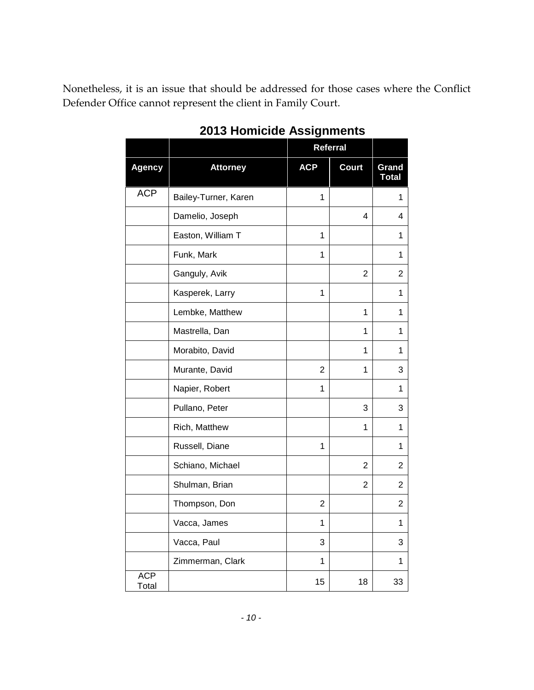Nonetheless, it is an issue that should be addressed for those cases where the Conflict Defender Office cannot represent the client in Family Court.

|                     |                      | <b>Referral</b> |                |                       |
|---------------------|----------------------|-----------------|----------------|-----------------------|
| <b>Agency</b>       | <b>Attorney</b>      | <b>ACP</b>      | <b>Court</b>   | Grand<br><b>Total</b> |
| <b>ACP</b>          | Bailey-Turner, Karen | 1               |                | 1                     |
|                     | Damelio, Joseph      |                 | 4              | 4                     |
|                     | Easton, William T    | 1               |                | 1                     |
|                     | Funk, Mark           | 1               |                | 1                     |
|                     | Ganguly, Avik        |                 | 2              | 2                     |
|                     | Kasperek, Larry      | 1               |                | 1                     |
|                     | Lembke, Matthew      |                 | $\mathbf 1$    | 1                     |
|                     | Mastrella, Dan       |                 | $\mathbf{1}$   | 1                     |
|                     | Morabito, David      |                 | 1              | 1                     |
|                     | Murante, David       | 2               | 1              | 3                     |
|                     | Napier, Robert       | 1               |                | 1                     |
|                     | Pullano, Peter       |                 | 3              | 3                     |
|                     | Rich, Matthew        |                 | $\mathbf{1}$   | $\mathbf{1}$          |
|                     | Russell, Diane       | $\mathbf{1}$    |                | 1                     |
|                     | Schiano, Michael     |                 | $\overline{2}$ | 2                     |
|                     | Shulman, Brian       |                 | $\overline{2}$ | 2                     |
|                     | Thompson, Don        | 2               |                | 2                     |
|                     | Vacca, James         | 1               |                | 1                     |
|                     | Vacca, Paul          | 3               |                | 3                     |
|                     | Zimmerman, Clark     | 1               |                | 1                     |
| <b>ACP</b><br>Total |                      | 15              | 18             | 33                    |

## **2013 Homicide Assignments**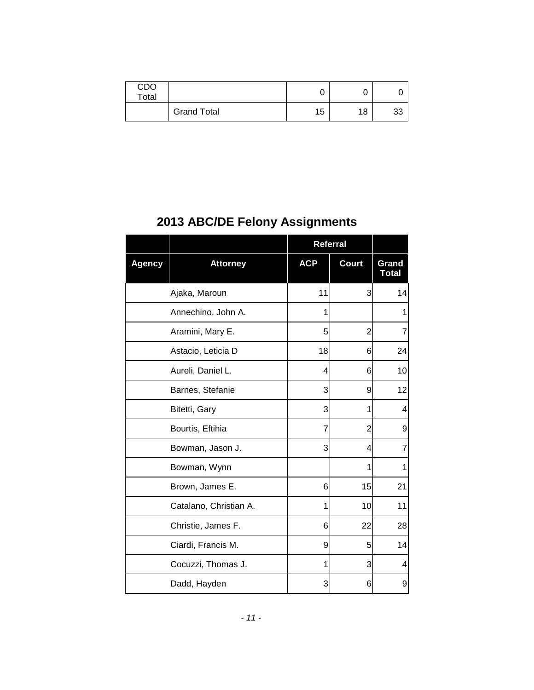| CDO<br>Total |                    | u  |    |    |
|--------------|--------------------|----|----|----|
|              | <b>Grand Total</b> | 15 | 18 | ັບ |

## **2013 ABC/DE Felony Assignments**

|               |                        | <b>Referral</b> |              |                       |
|---------------|------------------------|-----------------|--------------|-----------------------|
| <b>Agency</b> | <b>Attorney</b>        | <b>ACP</b>      | <b>Court</b> | Grand<br><b>Total</b> |
|               | Ajaka, Maroun          | 11              | 3            | 14                    |
|               | Annechino, John A.     | 1               |              | 1                     |
|               | Aramini, Mary E.       | 5               | 2            | 7                     |
|               | Astacio, Leticia D     | 18              | 6            | 24                    |
|               | Aureli, Daniel L.      | 4               | 6            | 10                    |
|               | Barnes, Stefanie       | 3               | 9            | 12                    |
|               | Bitetti, Gary          | 3               | 1            | 4                     |
|               | Bourtis, Eftihia       | 7               | 2            | 9                     |
|               | Bowman, Jason J.       | 3               | 4            | 7                     |
|               | Bowman, Wynn           |                 | 1            | 1                     |
|               | Brown, James E.        | 6               | 15           | 21                    |
|               | Catalano, Christian A. | 1               | 10           | 11                    |
|               | Christie, James F.     | 6               | 22           | 28                    |
|               | Ciardi, Francis M.     | 9               | 5            | 14                    |
|               | Cocuzzi, Thomas J.     | 1               | 3            | 4                     |
|               | Dadd, Hayden           | 3               | 6            | 9                     |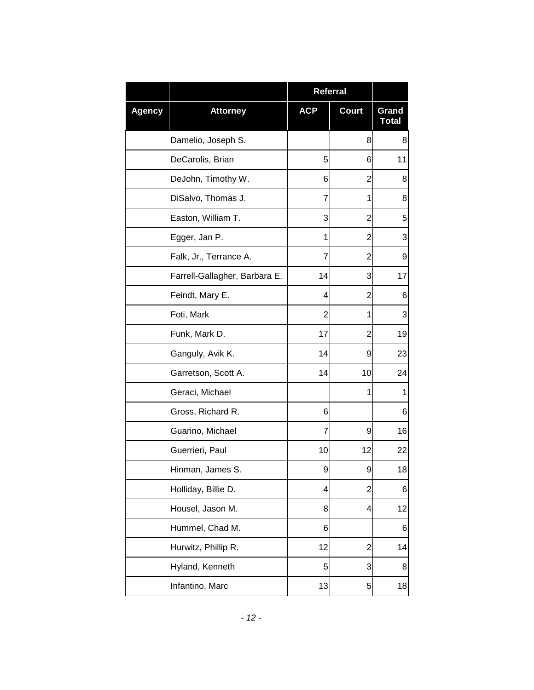|               |                               | <b>Referral</b> |                |                       |
|---------------|-------------------------------|-----------------|----------------|-----------------------|
| <b>Agency</b> | <b>Attorney</b>               | <b>ACP</b>      | <b>Court</b>   | Grand<br><b>Total</b> |
|               | Damelio, Joseph S.            |                 | 8              | 8                     |
|               | DeCarolis, Brian              | 5               | 6              | 11                    |
|               | DeJohn, Timothy W.            | 6               | 2              | 8                     |
|               | DiSalvo, Thomas J.            | 7               | 1              | 8                     |
|               | Easton, William T.            | 3               | 2              | 5                     |
|               | Egger, Jan P.                 | 1               | $\overline{2}$ | 3                     |
|               | Falk, Jr., Terrance A.        | 7               | 2              | 9                     |
|               | Farrell-Gallagher, Barbara E. | 14              | 3              | 17                    |
|               | Feindt, Mary E.               | 4               | $\overline{2}$ | 6                     |
|               | Foti, Mark                    | 2               | 1              | 3                     |
|               | Funk, Mark D.                 | 17              | $\overline{2}$ | 19                    |
|               | Ganguly, Avik K.              | 14              | 9              | 23                    |
|               | Garretson, Scott A.           | 14              | 10             | 24                    |
|               | Geraci, Michael               |                 | 1              | 1                     |
|               | Gross, Richard R.             | 6               |                | 6                     |
|               | Guarino, Michael              | 7               | 9              | 16                    |
|               | Guerrieri, Paul               | 10              | 12             | 22                    |
|               | Hinman, James S.              | 9               | 9              | 18                    |
|               | Holliday, Billie D.           | 4               | 2              | 6                     |
|               | Housel, Jason M.              | 8               | 4              | 12                    |
|               | Hummel, Chad M.               | 6               |                | 6                     |
|               | Hurwitz, Phillip R.           | 12              | $\overline{2}$ | 14                    |
|               | Hyland, Kenneth               | 5               | 3              | 8                     |
|               | Infantino, Marc               | 13              | 5              | 18                    |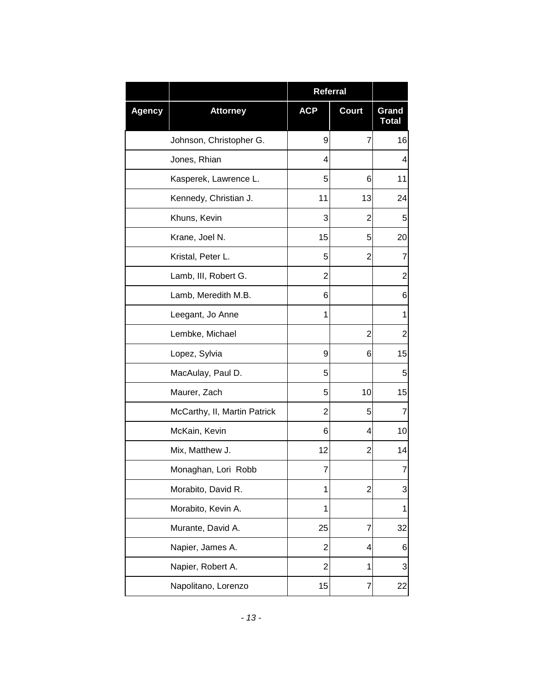|               |                              | <b>Referral</b> |                |                       |
|---------------|------------------------------|-----------------|----------------|-----------------------|
| <b>Agency</b> | <b>Attorney</b>              | <b>ACP</b>      | <b>Court</b>   | Grand<br><b>Total</b> |
|               | Johnson, Christopher G.      | 9               | 7              | 16                    |
|               | Jones, Rhian                 | 4               |                | 4                     |
|               | Kasperek, Lawrence L.        | 5               | 6              | 11                    |
|               | Kennedy, Christian J.        | 11              | 13             | 24                    |
|               | Khuns, Kevin                 | 3               | $\overline{2}$ | 5                     |
|               | Krane, Joel N.               | 15              | 5              | 20                    |
|               | Kristal, Peter L.            | 5               | 2              | 7                     |
|               | Lamb, III, Robert G.         | $\overline{2}$  |                | $\overline{c}$        |
|               | Lamb, Meredith M.B.          | 6               |                | 6                     |
|               | Leegant, Jo Anne             | 1               |                | 1                     |
|               | Lembke, Michael              |                 | $\overline{2}$ | $\overline{2}$        |
|               | Lopez, Sylvia                | 9               | 6              | 15                    |
|               | MacAulay, Paul D.            | 5               |                | 5                     |
|               | Maurer, Zach                 | 5               | 10             | 15                    |
|               | McCarthy, II, Martin Patrick | 2               | 5              | 7                     |
|               | McKain, Kevin                | 6               | 4              | 10                    |
|               | Mix, Matthew J.              | 12              | 2              | 14                    |
|               | Monaghan, Lori Robb          | 7               |                | 7                     |
|               | Morabito, David R.           | 1               | $\overline{2}$ | 3                     |
|               | Morabito, Kevin A.           | 1               |                | 1                     |
|               | Murante, David A.            | 25              | $\overline{7}$ | 32                    |
|               | Napier, James A.             | 2               | 4              | 6                     |
|               | Napier, Robert A.            | $\overline{2}$  | 1              | 3                     |
|               | Napolitano, Lorenzo          | 15              | 7              | 22                    |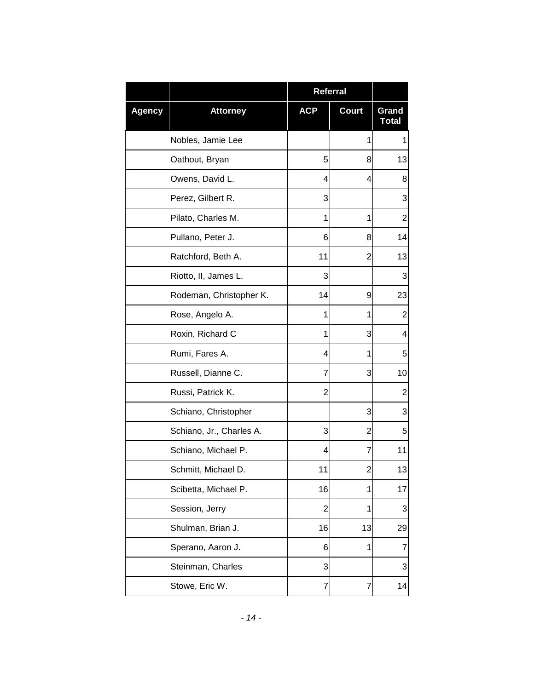|               |                          | Referral       |                |                       |
|---------------|--------------------------|----------------|----------------|-----------------------|
| <b>Agency</b> | <b>Attorney</b>          | <b>ACP</b>     | <b>Court</b>   | Grand<br><b>Total</b> |
|               | Nobles, Jamie Lee        |                | 1              | 1                     |
|               | Oathout, Bryan           | 5              | 8              | 13                    |
|               | Owens, David L.          | 4              | 4              | 8                     |
|               | Perez, Gilbert R.        | 3              |                | 3                     |
|               | Pilato, Charles M.       | 1              | 1              | 2                     |
|               | Pullano, Peter J.        | 6              | 8              | 14                    |
|               | Ratchford, Beth A.       | 11             | $\overline{2}$ | 13                    |
|               | Riotto, II, James L.     | 3              |                | 3                     |
|               | Rodeman, Christopher K.  | 14             | 9              | 23                    |
|               | Rose, Angelo A.          | 1              | 1              | 2                     |
|               | Roxin, Richard C         | 1              | 3              | 4                     |
|               | Rumi, Fares A.           | 4              | 1              | 5                     |
|               | Russell, Dianne C.       | 7              | 3              | 10                    |
|               | Russi, Patrick K.        | 2              |                | $\overline{c}$        |
|               | Schiano, Christopher     |                | 3              | 3                     |
|               | Schiano, Jr., Charles A. | 3              | 2              | 5                     |
|               | Schiano, Michael P.      | 4              | 7              | 11                    |
|               | Schmitt, Michael D.      | 11             | $\overline{2}$ | 13                    |
|               | Scibetta, Michael P.     | 16             | 1              | 17                    |
|               | Session, Jerry           | $\overline{2}$ | 1              | 3                     |
|               | Shulman, Brian J.        | 16             | 13             | 29                    |
|               | Sperano, Aaron J.        | 6              | 1              | 7                     |
|               | Steinman, Charles        | 3              |                | 3                     |
|               | Stowe, Eric W.           | 7              | 7              | 14                    |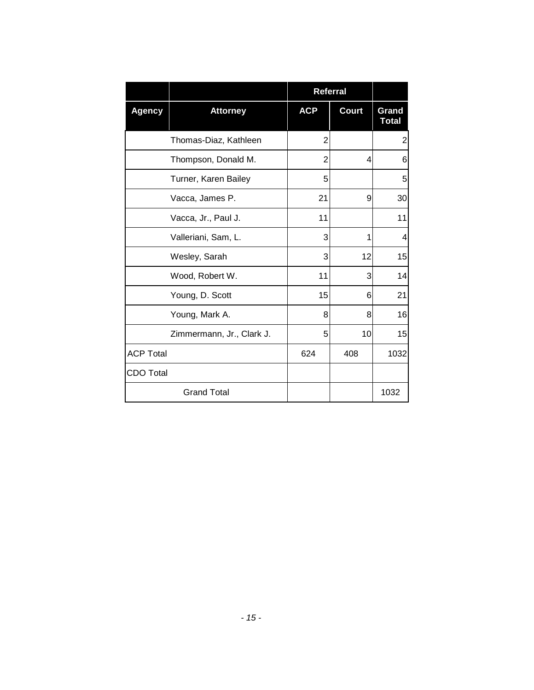|                  |                           |            | Referral     |                       |
|------------------|---------------------------|------------|--------------|-----------------------|
| <b>Agency</b>    | <b>Attorney</b>           | <b>ACP</b> | <b>Court</b> | Grand<br><b>Total</b> |
|                  | Thomas-Diaz, Kathleen     | 2          |              | $\overline{2}$        |
|                  | Thompson, Donald M.       | 2          | 4            | 6                     |
|                  | Turner, Karen Bailey      | 5          |              | 5                     |
|                  | Vacca, James P.           | 21         | 9            | 30                    |
|                  | Vacca, Jr., Paul J.       | 11         |              | 11                    |
|                  | Valleriani, Sam, L.       | 3          | 1            | 4                     |
|                  | Wesley, Sarah             | 3          | 12           | 15                    |
|                  | Wood, Robert W.           | 11         | 3            | 14                    |
|                  | Young, D. Scott           | 15         | 6            | 21                    |
|                  | Young, Mark A.            | 8          | 8            | 16                    |
|                  | Zimmermann, Jr., Clark J. | 5          | 10           | 15                    |
| <b>ACP Total</b> |                           | 624        | 408          | 1032                  |
| <b>CDO Total</b> |                           |            |              |                       |
|                  | <b>Grand Total</b>        |            |              | 1032                  |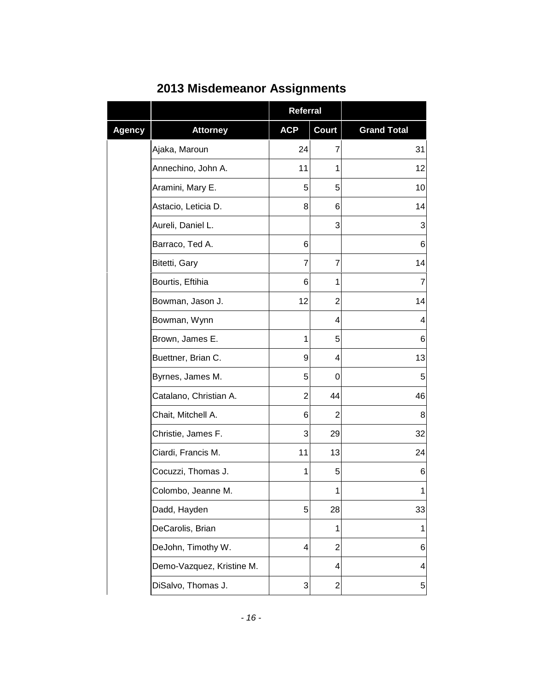|               |                           | <b>Referral</b>         |                         |                    |
|---------------|---------------------------|-------------------------|-------------------------|--------------------|
| <b>Agency</b> | <b>Attorney</b>           | <b>ACP</b>              | <b>Court</b>            | <b>Grand Total</b> |
|               | Ajaka, Maroun             | 24                      | 7                       | 31                 |
|               | Annechino, John A.        | 11                      | 1                       | 12                 |
|               | Aramini, Mary E.          | 5                       | 5                       | 10                 |
|               | Astacio, Leticia D.       | 8                       | 6                       | 14                 |
|               | Aureli, Daniel L.         |                         | 3                       | 3                  |
|               | Barraco, Ted A.           | 6                       |                         | 6                  |
|               | Bitetti, Gary             | 7                       | 7                       | 14                 |
|               | Bourtis, Eftihia          | 6                       | 1                       | $\overline{7}$     |
|               | Bowman, Jason J.          | 12                      | 2                       | 14                 |
|               | Bowman, Wynn              |                         | 4                       | 4                  |
|               | Brown, James E.           | 1                       | 5                       | 6                  |
|               | Buettner, Brian C.        | 9                       | 4                       | 13                 |
|               | Byrnes, James M.          | 5                       | 0                       | 5                  |
|               | Catalano, Christian A.    | $\overline{2}$          | 44                      | 46                 |
|               | Chait, Mitchell A.        | 6                       | 2                       | 8                  |
|               | Christie, James F.        | 3                       | 29                      | 32                 |
|               | Ciardi, Francis M.        | 11                      | 13                      | 24                 |
|               | Cocuzzi, Thomas J.        | 1                       | 5                       | 6                  |
|               | Colombo, Jeanne M.        |                         | $\mathbf{1}$            | $\mathbf{1}$       |
|               | Dadd, Hayden              | 5                       | 28                      | 33                 |
|               | DeCarolis, Brian          |                         | $\mathbf{1}$            | 1                  |
|               | DeJohn, Timothy W.        | $\overline{\mathbf{4}}$ | $\overline{2}$          | 6                  |
|               | Demo-Vazquez, Kristine M. |                         | 4                       | 4                  |
|               | DiSalvo, Thomas J.        | 3                       | $\overline{\mathbf{c}}$ | 5                  |

## **2013 Misdemeanor Assignments**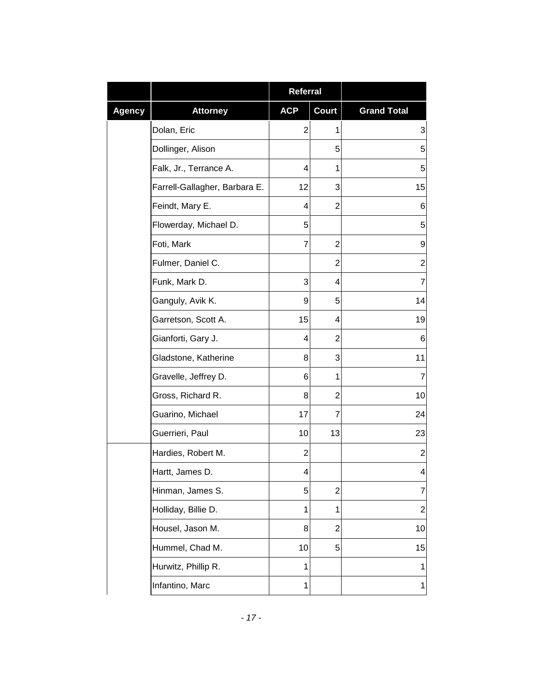|               |                               | <b>Referral</b> |                |                    |
|---------------|-------------------------------|-----------------|----------------|--------------------|
| <b>Agency</b> | <b>Attorney</b>               | <b>ACP</b>      | <b>Court</b>   | <b>Grand Total</b> |
|               | Dolan, Eric                   | $\overline{2}$  | 1              | 3                  |
|               | Dollinger, Alison             |                 | 5              | 5                  |
|               | Falk, Jr., Terrance A.        | 4               | 1              | 5                  |
|               | Farrell-Gallagher, Barbara E. | 12              | 3              | 15                 |
|               | Feindt, Mary E.               | 4               | 2              | 6                  |
|               | Flowerday, Michael D.         | 5               |                | 5                  |
|               | Foti, Mark                    | 7               | $\overline{c}$ | 9                  |
|               | Fulmer, Daniel C.             |                 | $\overline{2}$ | $\overline{c}$     |
|               | Funk, Mark D.                 | 3               | 4              | 7                  |
|               | Ganguly, Avik K.              | 9               | 5              | 14                 |
|               | Garretson, Scott A.           | 15              | 4              | 19                 |
|               | Gianforti, Gary J.            | 4               | 2              | 6                  |
|               | Gladstone, Katherine          | 8               | 3              | 11                 |
|               | Gravelle, Jeffrey D.          | 6               | 1              | 7                  |
|               | Gross, Richard R.             | 8               | 2              | 10                 |
|               | Guarino, Michael              | 17              | 7              | 24                 |
|               | Guerrieri, Paul               | 10              | 13             | 23                 |
|               | Hardies, Robert M.            | $\overline{2}$  |                | $\mathbf{2}$       |
|               | Hartt, James D.               |                 |                | 4                  |
|               | Hinman, James S.              | 5               | 2              | $\overline{7}$     |
|               | Holliday, Billie D.           | 1               | 1              | $\overline{c}$     |
|               | Housel, Jason M.              | 8               | 2              | 10                 |
|               | Hummel, Chad M.               | 10              | 5              | 15                 |
|               | Hurwitz, Phillip R.           | $\mathbf{1}$    |                | 1                  |
|               | Infantino, Marc               | 1               |                | $\mathbf 1$        |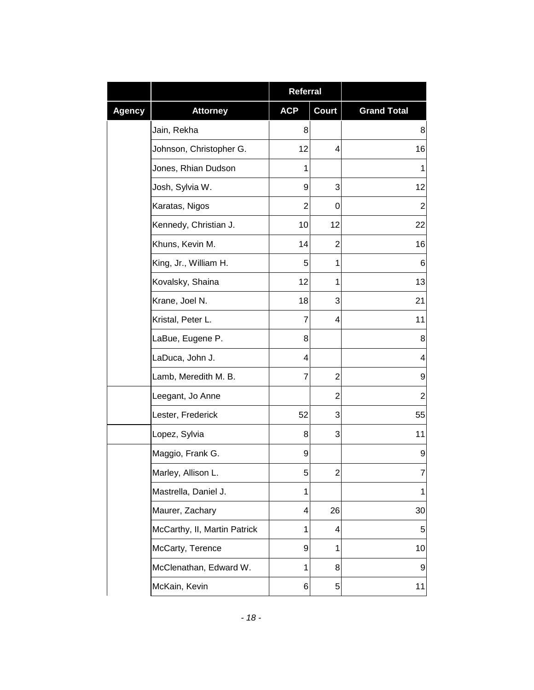|               |                              | Referral       |                |                    |
|---------------|------------------------------|----------------|----------------|--------------------|
| <b>Agency</b> | <b>Attorney</b>              | <b>ACP</b>     | <b>Court</b>   | <b>Grand Total</b> |
|               | Jain, Rekha                  | 8              |                | 8                  |
|               | Johnson, Christopher G.      | 12             | 4              | 16                 |
|               | Jones, Rhian Dudson          | 1              |                | 1                  |
|               | Josh, Sylvia W.              | 9              | 3              | 12                 |
|               | Karatas, Nigos               | $\overline{2}$ | 0              | $\overline{2}$     |
|               | Kennedy, Christian J.        | 10             | 12             | 22                 |
|               | Khuns, Kevin M.              | 14             | $\overline{2}$ | 16                 |
|               | King, Jr., William H.        | 5              | 1              | 6                  |
|               | Kovalsky, Shaina             | 12             | 1              | 13                 |
|               | Krane, Joel N.               | 18             | 3              | 21                 |
|               | Kristal, Peter L.            | $\overline{7}$ | 4              | 11                 |
|               | LaBue, Eugene P.             | 8              |                | 8                  |
|               | LaDuca, John J.              | 4              |                | 4                  |
|               | Lamb, Meredith M. B.         | $\overline{7}$ | $\overline{c}$ | 9                  |
|               | Leegant, Jo Anne             |                | 2              | $\overline{2}$     |
|               | Lester, Frederick            | 52             | 3              | 55                 |
|               | Lopez, Sylvia                | 8              | 3              | 11                 |
|               | Maggio, Frank G.             | 9              |                | 9                  |
|               | Marley, Allison L.           | 5              | $\overline{c}$ | ſ.                 |
|               | Mastrella, Daniel J.         | 1              |                | $\mathbf{1}$       |
|               | Maurer, Zachary              | 4              | 26             | 30                 |
|               | McCarthy, II, Martin Patrick | $\mathbf{1}$   | 4              | 5                  |
|               | McCarty, Terence             | 9              | 1              | 10                 |
|               | McClenathan, Edward W.       | $\mathbf{1}$   | 8              | 9                  |
|               | McKain, Kevin                | 6              | 5              | 11                 |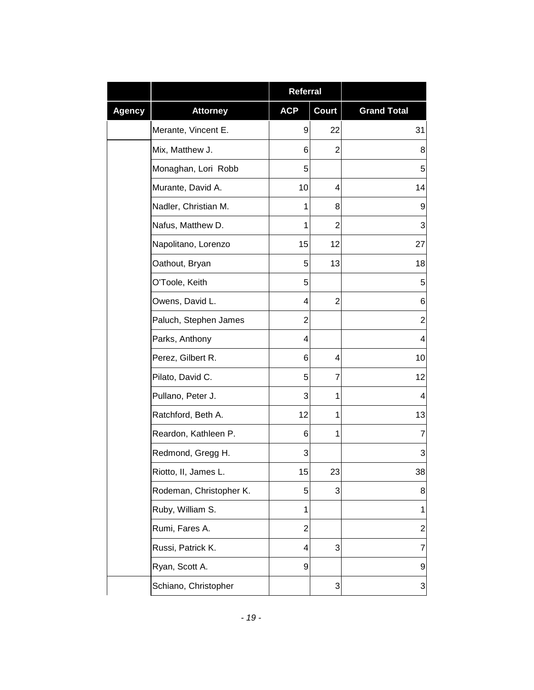|               |                         | <b>Referral</b> |                           |                           |
|---------------|-------------------------|-----------------|---------------------------|---------------------------|
| <b>Agency</b> | <b>Attorney</b>         | <b>ACP</b>      | <b>Court</b>              | <b>Grand Total</b>        |
|               | Merante, Vincent E.     | 9               | 22                        | 31                        |
|               | Mix, Matthew J.         | 6               | 2                         | 8                         |
|               | Monaghan, Lori Robb     | 5               |                           | 5                         |
|               | Murante, David A.       | 10              | 4                         | 14                        |
|               | Nadler, Christian M.    | 1               | 8                         | 9                         |
|               | Nafus, Matthew D.       | 1               | $\overline{2}$            | 3                         |
|               | Napolitano, Lorenzo     | 15              | 12                        | 27                        |
|               | Oathout, Bryan          | 5               | 13                        | 18                        |
|               | O'Toole, Keith          | 5               |                           | 5                         |
|               | Owens, David L.         | 4               | 2                         | 6                         |
|               | Paluch, Stephen James   | $\overline{2}$  |                           | $\boldsymbol{2}$          |
|               | Parks, Anthony          | 4               |                           | 4                         |
|               | Perez, Gilbert R.       | 6               | 4                         | 10                        |
|               | Pilato, David C.        | 5               | 7                         | 12                        |
|               | Pullano, Peter J.       | 3               | 1                         | 4                         |
|               | Ratchford, Beth A.      | 12              | 1                         | 13                        |
|               | Reardon, Kathleen P.    | 6               | 1                         | 7                         |
|               | Redmond, Gregg H.       | 3               |                           | 3                         |
|               | Riotto, II, James L.    | 15              | 23                        | 38                        |
|               | Rodeman, Christopher K. | 5               | 3                         | 8                         |
|               | Ruby, William S.        | 1               |                           | 1                         |
|               | Rumi, Fares A.          | $\overline{c}$  |                           | $\overline{2}$            |
|               | Russi, Patrick K.       | 4               | 3                         | $\overline{7}$            |
|               | Ryan, Scott A.          | 9               |                           | $\boldsymbol{9}$          |
|               | Schiano, Christopher    |                 | $\ensuremath{\mathsf{3}}$ | $\ensuremath{\mathsf{3}}$ |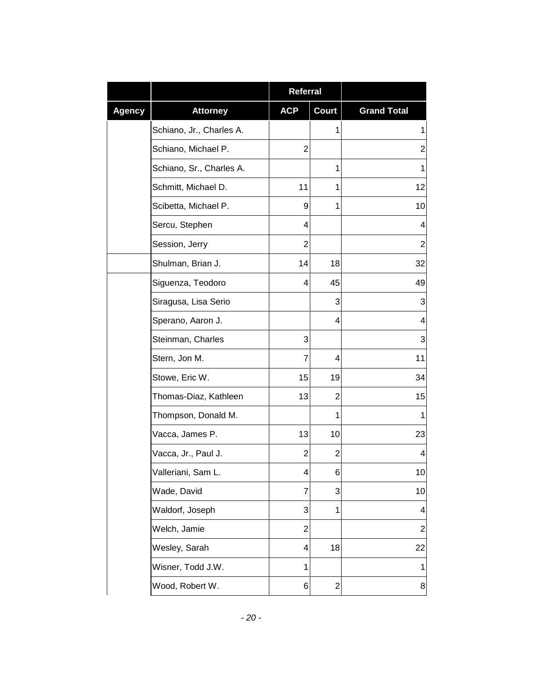|               |                          | <b>Referral</b> |                |                    |
|---------------|--------------------------|-----------------|----------------|--------------------|
| <b>Agency</b> | <b>Attorney</b>          | <b>ACP</b>      | <b>Court</b>   | <b>Grand Total</b> |
|               | Schiano, Jr., Charles A. |                 | 1              | 1                  |
|               | Schiano, Michael P.      | 2               |                | $\overline{c}$     |
|               | Schiano, Sr., Charles A. |                 | 1              | 1                  |
|               | Schmitt, Michael D.      | 11              | 1              | 12                 |
|               | Scibetta, Michael P.     | 9               | 1              | 10                 |
|               | Sercu, Stephen           | 4               |                | 4                  |
|               | Session, Jerry           | 2               |                | $\overline{2}$     |
|               | Shulman, Brian J.        | 14              | 18             | 32                 |
|               | Siguenza, Teodoro        | 4               | 45             | 49                 |
|               | Siragusa, Lisa Serio     |                 | 3              | 3                  |
|               | Sperano, Aaron J.        |                 | 4              | 4                  |
|               | Steinman, Charles        | 3               |                | 3                  |
|               | Stern, Jon M.            | 7               | 4              | 11                 |
|               | Stowe, Eric W.           | 15              | 19             | 34                 |
|               | Thomas-Diaz, Kathleen    | 13              | 2              | 15                 |
|               | Thompson, Donald M.      |                 | 1              | 1                  |
|               | Vacca, James P.          | 13              | 10             | 23                 |
|               | Vacca, Jr., Paul J.      | 2               | 2              | 4                  |
|               | Valleriani, Sam L.       | 4               | 6              | 10                 |
|               | Wade, David              | 7               | 3              | 10                 |
|               | Waldorf, Joseph          | 3               | 1              | 4                  |
|               | Welch, Jamie             | 2               |                | $\boldsymbol{2}$   |
|               | Wesley, Sarah            | 4               | 18             | 22                 |
|               | Wisner, Todd J.W.        | 1               |                | $\mathbf 1$        |
|               | Wood, Robert W.          | 6               | $\overline{c}$ | 8                  |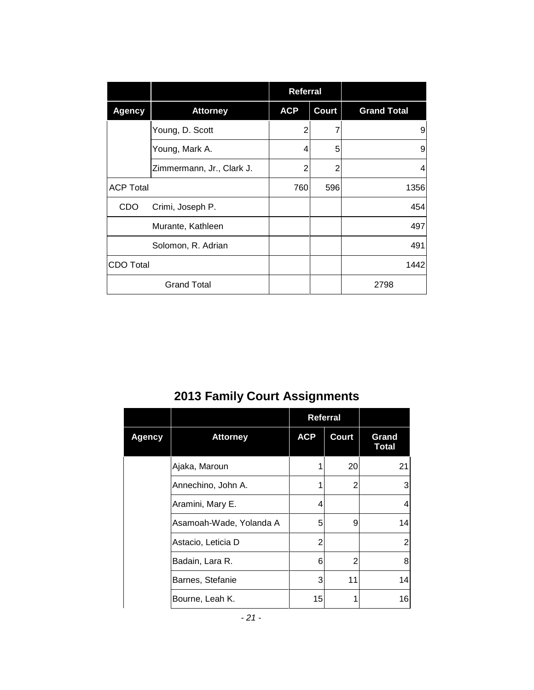|                  |                           | <b>Referral</b> |              |                    |
|------------------|---------------------------|-----------------|--------------|--------------------|
| <b>Agency</b>    | <b>Attorney</b>           | <b>ACP</b>      | <b>Court</b> | <b>Grand Total</b> |
|                  | Young, D. Scott           | 2               |              | 9                  |
|                  | Young, Mark A.            | 4               | 5            | 9                  |
|                  | Zimmermann, Jr., Clark J. | $\overline{2}$  | 2            | 4                  |
| <b>ACP Total</b> |                           | 760             | 596          | 1356               |
| <b>CDO</b>       | Crimi, Joseph P.          |                 |              | 454                |
|                  | Murante, Kathleen         |                 |              | 497                |
|                  | Solomon, R. Adrian        |                 |              | 491                |
| <b>CDO Total</b> |                           |                 |              | 1442               |
|                  | <b>Grand Total</b>        |                 |              | 2798               |

# **2013 Family Court Assignments**

|               |                         | <b>Referral</b> |       |                       |
|---------------|-------------------------|-----------------|-------|-----------------------|
| <b>Agency</b> | <b>Attorney</b>         | <b>ACP</b>      | Court | Grand<br><b>Total</b> |
|               | Ajaka, Maroun           | 1               | 20    | 21                    |
|               | Annechino, John A.      | 1               | 2     | 3                     |
|               | Aramini, Mary E.        | 4               |       | $\overline{4}$        |
|               | Asamoah-Wade, Yolanda A | 5               | 9     | 14                    |
|               | Astacio, Leticia D      | 2               |       | 2                     |
|               | Badain, Lara R.         | 6               | 2     | 8                     |
|               | Barnes, Stefanie        | 3               | 11    | 14                    |
|               | Bourne, Leah K.         | 15              | 1     | 16                    |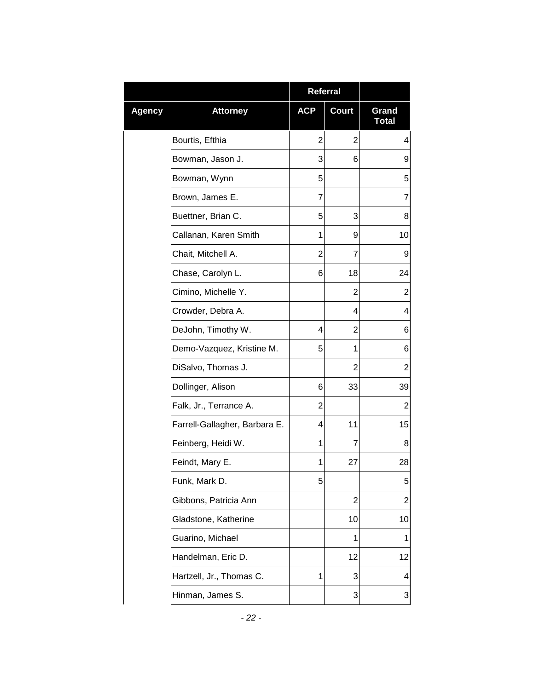|               |                               | <b>Referral</b> |                |                         |
|---------------|-------------------------------|-----------------|----------------|-------------------------|
| <b>Agency</b> | <b>Attorney</b>               | <b>ACP</b>      | <b>Court</b>   | Grand<br><b>Total</b>   |
|               | Bourtis, Efthia               | $\overline{2}$  | $\overline{2}$ | 4                       |
|               | Bowman, Jason J.              | 3               | 6              | 9                       |
|               | Bowman, Wynn                  | 5               |                | 5                       |
|               | Brown, James E.               | 7               |                | 7                       |
|               | Buettner, Brian C.            | 5               | 3              | 8                       |
|               | Callanan, Karen Smith         | 1               | 9              | 10                      |
|               | Chait, Mitchell A.            | 2               | 7              | 9                       |
|               | Chase, Carolyn L.             | 6               | 18             | 24                      |
|               | Cimino, Michelle Y.           |                 | $\overline{2}$ | 2                       |
|               | Crowder, Debra A.             |                 | 4              | 4                       |
|               | DeJohn, Timothy W.            | 4               | $\overline{2}$ | 6                       |
|               | Demo-Vazquez, Kristine M.     | 5               | 1              | 6                       |
|               | DiSalvo, Thomas J.            |                 | 2              | $\overline{2}$          |
|               | Dollinger, Alison             | 6               | 33             | 39                      |
|               | Falk, Jr., Terrance A.        | $\overline{2}$  |                | $\mathbf 2$             |
|               | Farrell-Gallagher, Barbara E. | 4               | 11             | 15                      |
|               | Feinberg, Heidi W.            | 1               | 7              | 8                       |
|               | Feindt, Mary E.               | 1               | 27             | 28                      |
|               | Funk, Mark D.                 | 5               |                | 5                       |
|               | Gibbons, Patricia Ann         |                 | $\overline{2}$ | 2                       |
|               | Gladstone, Katherine          |                 | 10             | 10                      |
|               | Guarino, Michael              |                 | 1              | 1                       |
|               | Handelman, Eric D.            |                 | 12             | 12                      |
|               | Hartzell, Jr., Thomas C.      | 1               | 3              | $\overline{\mathbf{4}}$ |
|               | Hinman, James S.              |                 | 3              | 3                       |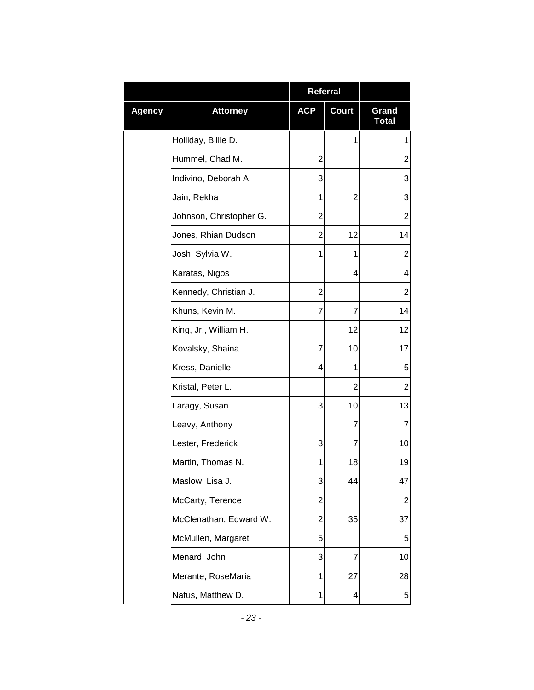|        |                         | Referral       |              |                         |
|--------|-------------------------|----------------|--------------|-------------------------|
| Agency | <b>Attorney</b>         | <b>ACP</b>     | <b>Court</b> | Grand<br><b>Total</b>   |
|        | Holliday, Billie D.     |                | 1            | 1                       |
|        | Hummel, Chad M.         | 2              |              | $\overline{2}$          |
|        | Indivino, Deborah A.    | 3              |              | 3                       |
|        | Jain, Rekha             | 1              | 2            | 3                       |
|        | Johnson, Christopher G. | $\overline{2}$ |              | $\overline{c}$          |
|        | Jones, Rhian Dudson     | 2              | 12           | 14                      |
|        | Josh, Sylvia W.         | 1              | 1            | $\overline{2}$          |
|        | Karatas, Nigos          |                | 4            | 4                       |
|        | Kennedy, Christian J.   | $\overline{2}$ |              | $\mathbf 2$             |
|        | Khuns, Kevin M.         | 7              | 7            | 14                      |
|        | King, Jr., William H.   |                | 12           | 12                      |
|        | Kovalsky, Shaina        | 7              | 10           | 17                      |
|        | Kress, Danielle         | 4              | 1            | 5                       |
|        | Kristal, Peter L.       |                | 2            | 2                       |
|        | Laragy, Susan           | 3              | 10           | 13                      |
|        | Leavy, Anthony          |                | 7            | 7                       |
|        | Lester, Frederick       | 3              | 7            | 10                      |
|        | Martin, Thomas N.       | 1              | 18           | 19                      |
|        | Maslow, Lisa J.         | 3              | 44           | 47                      |
|        | McCarty, Terence        | $\overline{2}$ |              | $\overline{\mathbf{c}}$ |
|        | McClenathan, Edward W.  | 2              | 35           | 37                      |
|        | McMullen, Margaret      | 5              |              | 5                       |
|        | Menard, John            | 3              | 7            | 10                      |
|        | Merante, RoseMaria      | 1              | 27           | 28                      |
|        | Nafus, Matthew D.       | 1              | 4            | 5                       |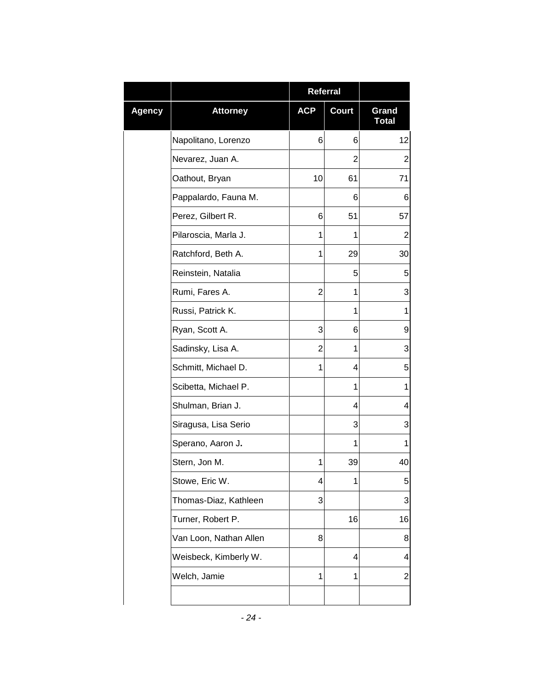|        |                        | Referral   |              |                       |
|--------|------------------------|------------|--------------|-----------------------|
| Agency | <b>Attorney</b>        | <b>ACP</b> | <b>Court</b> | Grand<br><b>Total</b> |
|        | Napolitano, Lorenzo    | 6          | 6            | 12                    |
|        | Nevarez, Juan A.       |            | 2            | $\overline{2}$        |
|        | Oathout, Bryan         | 10         | 61           | 71                    |
|        | Pappalardo, Fauna M.   |            | 6            | 6                     |
|        | Perez, Gilbert R.      | 6          | 51           | 57                    |
|        | Pilaroscia, Marla J.   | 1          | 1            | 2                     |
|        | Ratchford, Beth A.     | 1          | 29           | 30                    |
|        | Reinstein, Natalia     |            | 5            | 5                     |
|        | Rumi, Fares A.         | 2          | 1            | 3                     |
|        | Russi, Patrick K.      |            | 1            | 1                     |
|        | Ryan, Scott A.         | 3          | 6            | 9                     |
|        | Sadinsky, Lisa A.      | 2          | 1            | 3                     |
|        | Schmitt, Michael D.    | 1          | 4            | 5                     |
|        | Scibetta, Michael P.   |            | 1            | 1                     |
|        | Shulman, Brian J.      |            | 4            | 4                     |
|        | Siragusa, Lisa Serio   |            | 3            | 3                     |
|        | Sperano, Aaron J.      |            | 1            | 1                     |
|        | Stern, Jon M.          | 1          | 39           | 40                    |
|        | Stowe, Eric W.         | 4          | 1            | 5                     |
|        | Thomas-Diaz, Kathleen  | 3          |              | 3                     |
|        | Turner, Robert P.      |            | 16           | 16                    |
|        | Van Loon, Nathan Allen | 8          |              | 8                     |
|        | Weisbeck, Kimberly W.  |            | 4            | 4                     |
|        | Welch, Jamie           | 1          | 1            | $\overline{c}$        |
|        |                        |            |              |                       |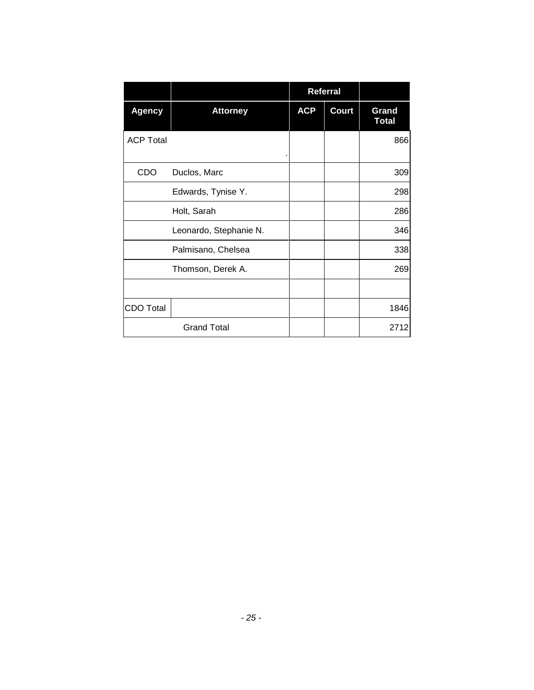|                  |                        |            | Referral |                       |
|------------------|------------------------|------------|----------|-----------------------|
| <b>Agency</b>    | <b>Attorney</b>        | <b>ACP</b> | Court    | Grand<br><b>Total</b> |
| <b>ACP Total</b> |                        |            |          | 866                   |
| CDO              | Duclos, Marc           |            |          | 309                   |
|                  | Edwards, Tynise Y.     |            |          | 298                   |
|                  | Holt, Sarah            |            |          | 286                   |
|                  | Leonardo, Stephanie N. |            |          | 346                   |
|                  | Palmisano, Chelsea     |            |          | 338                   |
|                  | Thomson, Derek A.      |            |          | 269                   |
|                  |                        |            |          |                       |
| <b>CDO Total</b> |                        |            |          | 1846                  |
|                  | <b>Grand Total</b>     |            |          | 2712                  |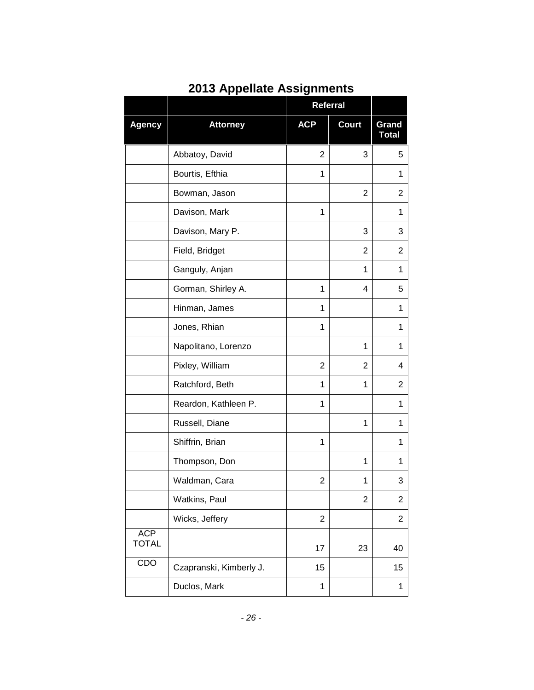|                            |                         | Referral       |                |                         |
|----------------------------|-------------------------|----------------|----------------|-------------------------|
| <b>Agency</b>              | <b>Attorney</b>         | <b>ACP</b>     | <b>Court</b>   | Grand<br><b>Total</b>   |
|                            | Abbatoy, David          | $\overline{2}$ | 3              | 5                       |
|                            | Bourtis, Efthia         | 1              |                | 1                       |
|                            | Bowman, Jason           |                | 2              | 2                       |
|                            | Davison, Mark           | 1              |                | 1                       |
|                            | Davison, Mary P.        |                | 3              | 3                       |
|                            | Field, Bridget          |                | $\overline{2}$ | 2                       |
|                            | Ganguly, Anjan          |                | 1              | 1                       |
|                            | Gorman, Shirley A.      | 1              | 4              | 5                       |
|                            | Hinman, James           | 1              |                | 1                       |
|                            | Jones, Rhian            | 1              |                | 1                       |
|                            | Napolitano, Lorenzo     |                | 1              | 1                       |
|                            | Pixley, William         | $\overline{2}$ | $\overline{2}$ | 4                       |
|                            | Ratchford, Beth         | 1              | 1              | 2                       |
|                            | Reardon, Kathleen P.    | 1              |                | 1                       |
|                            | Russell, Diane          |                | 1              | 1                       |
|                            | Shiffrin, Brian         | 1              |                | 1                       |
|                            | Thompson, Don           |                | 1              | 1                       |
|                            | Waldman, Cara           | $\overline{2}$ | 1              | 3                       |
|                            | Watkins, Paul           |                | $\overline{2}$ | $\overline{\mathbf{c}}$ |
|                            | Wicks, Jeffery          | $\overline{2}$ |                | 2                       |
| <b>ACP</b><br><b>TOTAL</b> |                         | 17             | 23             | 40                      |
| CDO                        | Czapranski, Kimberly J. | 15             |                | 15                      |
|                            | Duclos, Mark            | 1              |                | 1                       |

## **2013 Appellate Assignments**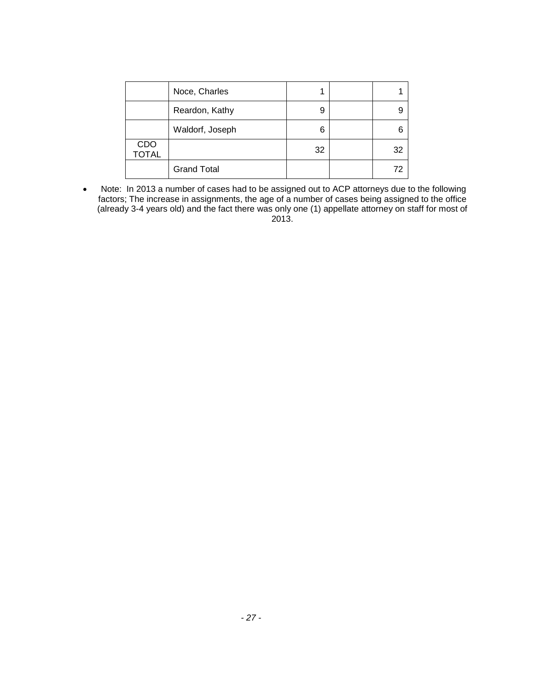|                     | Noce, Charles      |    |    |
|---------------------|--------------------|----|----|
|                     | Reardon, Kathy     | 9  |    |
|                     | Waldorf, Joseph    | 6  |    |
| CDO<br><b>TOTAL</b> |                    | 32 | 32 |
|                     | <b>Grand Total</b> |    | 72 |

• Note: In 2013 a number of cases had to be assigned out to ACP attorneys due to the following factors; The increase in assignments, the age of a number of cases being assigned to the office (already 3-4 years old) and the fact there was only one (1) appellate attorney on staff for most of 2013.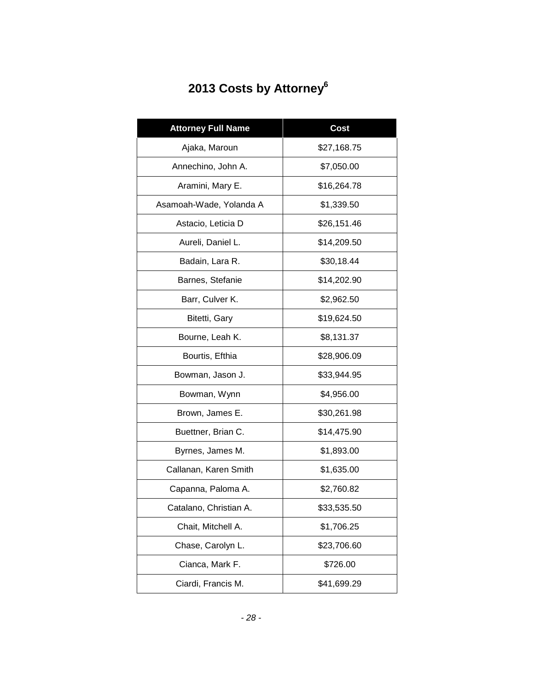# **2013 Costs by Attorney6**

| <b>Attorney Full Name</b> | Cost        |
|---------------------------|-------------|
| Ajaka, Maroun             | \$27,168.75 |
| Annechino, John A.        | \$7,050.00  |
| Aramini, Mary E.          | \$16,264.78 |
| Asamoah-Wade, Yolanda A   | \$1,339.50  |
| Astacio, Leticia D        | \$26,151.46 |
| Aureli, Daniel L.         | \$14,209.50 |
| Badain, Lara R.           | \$30,18.44  |
| Barnes, Stefanie          | \$14,202.90 |
| Barr, Culver K.           | \$2,962.50  |
| Bitetti, Gary             | \$19,624.50 |
| Bourne, Leah K.           | \$8,131.37  |
| Bourtis, Efthia           | \$28,906.09 |
| Bowman, Jason J.          | \$33,944.95 |
| Bowman, Wynn              | \$4,956.00  |
| Brown, James E.           | \$30,261.98 |
| Buettner, Brian C.        | \$14,475.90 |
| Byrnes, James M.          | \$1,893.00  |
| Callanan, Karen Smith     | \$1,635.00  |
| Capanna, Paloma A.        | \$2,760.82  |
| Catalano, Christian A.    | \$33,535.50 |
| Chait, Mitchell A.        | \$1,706.25  |
| Chase, Carolyn L.         | \$23,706.60 |
| Cianca, Mark F.           | \$726.00    |
| Ciardi, Francis M.        | \$41,699.29 |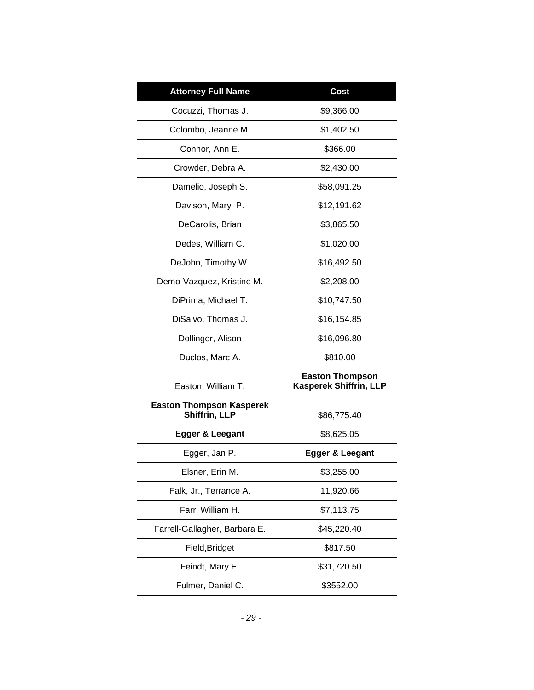| <b>Attorney Full Name</b>                        | Cost                                                    |
|--------------------------------------------------|---------------------------------------------------------|
| Cocuzzi, Thomas J.                               | \$9,366.00                                              |
| Colombo, Jeanne M.                               | \$1,402.50                                              |
| Connor, Ann E.                                   | \$366.00                                                |
| Crowder, Debra A.                                | \$2,430.00                                              |
| Damelio, Joseph S.                               | \$58,091.25                                             |
| Davison, Mary P.                                 | \$12,191.62                                             |
| DeCarolis, Brian                                 | \$3,865.50                                              |
| Dedes, William C.                                | \$1,020.00                                              |
| DeJohn, Timothy W.                               | \$16,492.50                                             |
| Demo-Vazquez, Kristine M.                        | \$2,208.00                                              |
| DiPrima, Michael T.                              | \$10,747.50                                             |
| DiSalvo, Thomas J.                               | \$16,154.85                                             |
| Dollinger, Alison                                | \$16,096.80                                             |
| Duclos, Marc A.                                  | \$810.00                                                |
| Easton, William T.                               | <b>Easton Thompson</b><br><b>Kasperek Shiffrin, LLP</b> |
| <b>Easton Thompson Kasperek</b><br>Shiffrin, LLP | \$86,775.40                                             |
| Egger & Leegant                                  | \$8,625.05                                              |
| Egger, Jan P.                                    | Egger & Leegant                                         |
| Elsner, Erin M.                                  | \$3,255.00                                              |
| Falk, Jr., Terrance A.                           | 11,920.66                                               |
| Farr, William H.                                 | \$7,113.75                                              |
| Farrell-Gallagher, Barbara E.                    | \$45,220.40                                             |
| Field, Bridget                                   | \$817.50                                                |
| Feindt, Mary E.                                  | \$31,720.50                                             |
| Fulmer, Daniel C.                                | \$3552.00                                               |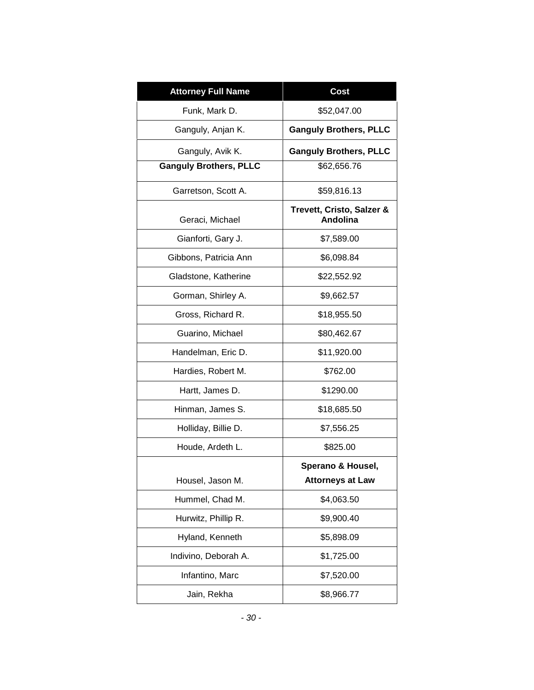| <b>Attorney Full Name</b>     | <b>Cost</b>                           |
|-------------------------------|---------------------------------------|
| Funk, Mark D.                 | \$52,047.00                           |
| Ganguly, Anjan K.             | <b>Ganguly Brothers, PLLC</b>         |
| Ganguly, Avik K.              | <b>Ganguly Brothers, PLLC</b>         |
| <b>Ganguly Brothers, PLLC</b> | \$62,656.76                           |
| Garretson, Scott A.           | \$59,816.13                           |
| Geraci, Michael               | Trevett, Cristo, Salzer &<br>Andolina |
| Gianforti, Gary J.            | \$7,589.00                            |
| Gibbons, Patricia Ann         | \$6,098.84                            |
| Gladstone, Katherine          | \$22,552.92                           |
| Gorman, Shirley A.            | \$9,662.57                            |
| Gross, Richard R.             | \$18,955.50                           |
| Guarino, Michael              | \$80,462.67                           |
| Handelman, Eric D.            | \$11,920.00                           |
| Hardies, Robert M.            | \$762.00                              |
| Hartt, James D.               | \$1290.00                             |
| Hinman, James S.              | \$18,685.50                           |
| Holliday, Billie D.           | \$7,556.25                            |
| Houde, Ardeth L.              | \$825.00                              |
|                               | Sperano & Housel,                     |
| Housel, Jason M.              | <b>Attorneys at Law</b>               |
| Hummel, Chad M.               | \$4,063.50                            |
| Hurwitz, Phillip R.           | \$9,900.40                            |
| Hyland, Kenneth               | \$5,898.09                            |
| Indivino, Deborah A.          | \$1,725.00                            |
| Infantino, Marc               | \$7,520.00                            |
| Jain, Rekha                   | \$8,966.77                            |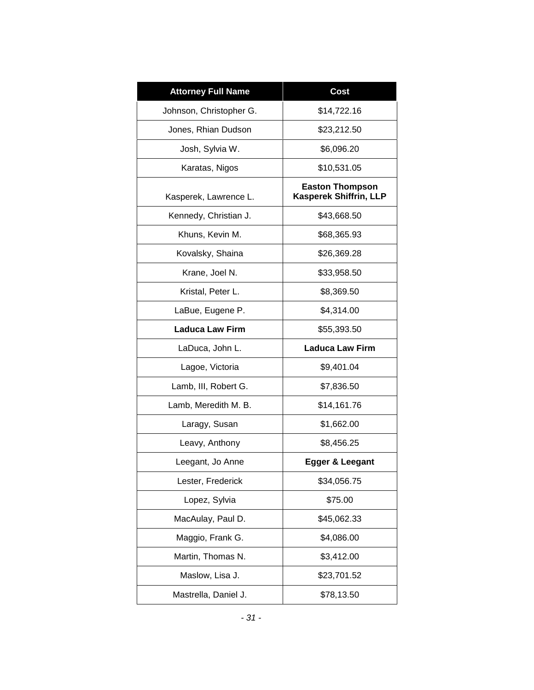| <b>Attorney Full Name</b> | Cost                                             |
|---------------------------|--------------------------------------------------|
| Johnson, Christopher G.   | \$14,722.16                                      |
| Jones, Rhian Dudson       | \$23,212.50                                      |
| Josh, Sylvia W.           | \$6,096.20                                       |
| Karatas, Nigos            | \$10,531.05                                      |
| Kasperek, Lawrence L.     | <b>Easton Thompson</b><br>Kasperek Shiffrin, LLP |
| Kennedy, Christian J.     | \$43,668.50                                      |
| Khuns, Kevin M.           | \$68,365.93                                      |
| Kovalsky, Shaina          | \$26,369.28                                      |
| Krane, Joel N.            | \$33,958.50                                      |
| Kristal, Peter L.         | \$8,369.50                                       |
| LaBue, Eugene P.          | \$4,314.00                                       |
| <b>Laduca Law Firm</b>    | \$55,393.50                                      |
| LaDuca, John L.           | <b>Laduca Law Firm</b>                           |
| Lagoe, Victoria           | \$9,401.04                                       |
| Lamb, III, Robert G.      | \$7,836.50                                       |
| Lamb, Meredith M. B.      | \$14,161.76                                      |
| Laragy, Susan             | \$1,662.00                                       |
| Leavy, Anthony            | \$8,456.25                                       |
| Leegant, Jo Anne          | Egger & Leegant                                  |
| Lester, Frederick         | \$34,056.75                                      |
| Lopez, Sylvia             | \$75.00                                          |
| MacAulay, Paul D.         | \$45,062.33                                      |
| Maggio, Frank G.          | \$4,086.00                                       |
| Martin, Thomas N.         | \$3,412.00                                       |
| Maslow, Lisa J.           | \$23,701.52                                      |
| Mastrella, Daniel J.      | \$78,13.50                                       |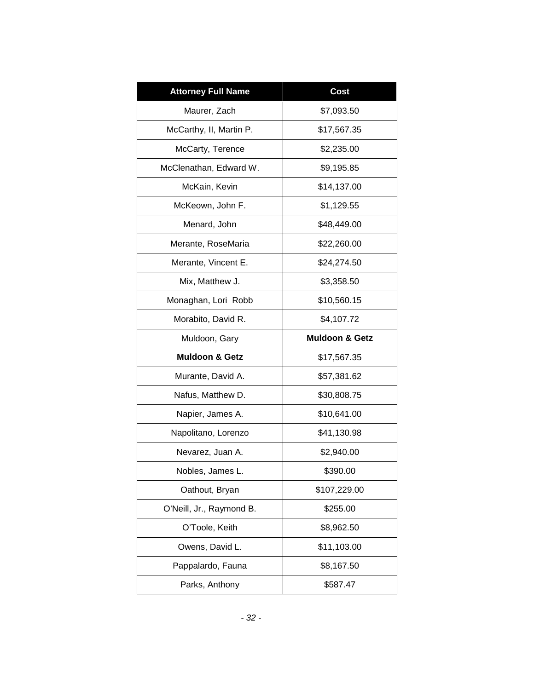| <b>Attorney Full Name</b> | <b>Cost</b>               |
|---------------------------|---------------------------|
| Maurer, Zach              | \$7,093.50                |
| McCarthy, II, Martin P.   | \$17,567.35               |
| McCarty, Terence          | \$2,235.00                |
| McClenathan, Edward W.    | \$9,195.85                |
| McKain, Kevin             | \$14,137.00               |
| McKeown, John F.          | \$1,129.55                |
| Menard, John              | \$48,449.00               |
| Merante, RoseMaria        | \$22,260.00               |
| Merante, Vincent E.       | \$24,274.50               |
| Mix, Matthew J.           | \$3,358.50                |
| Monaghan, Lori Robb       | \$10,560.15               |
| Morabito, David R.        | \$4,107.72                |
| Muldoon, Gary             | <b>Muldoon &amp; Getz</b> |
| <b>Muldoon &amp; Getz</b> | \$17,567.35               |
| Murante, David A.         | \$57,381.62               |
| Nafus, Matthew D.         | \$30,808.75               |
| Napier, James A.          | \$10,641.00               |
| Napolitano, Lorenzo       | \$41,130.98               |
| Nevarez, Juan A.          | \$2,940.00                |
| Nobles, James L           | \$390.00                  |
| Oathout, Bryan            | \$107,229.00              |
| O'Neill, Jr., Raymond B.  | \$255.00                  |
| O'Toole, Keith            | \$8,962.50                |
| Owens, David L.           | \$11,103.00               |
| Pappalardo, Fauna         | \$8,167.50                |
| Parks, Anthony            | \$587.47                  |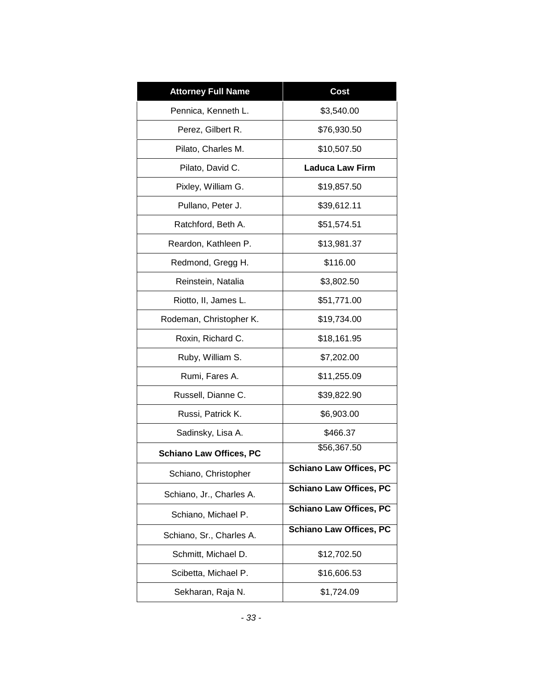| <b>Attorney Full Name</b>      | <b>Cost</b>                    |
|--------------------------------|--------------------------------|
| Pennica, Kenneth L.            | \$3,540.00                     |
| Perez, Gilbert R.              | \$76,930.50                    |
| Pilato, Charles M.             | \$10,507.50                    |
| Pilato, David C.               | <b>Laduca Law Firm</b>         |
| Pixley, William G.             | \$19,857.50                    |
| Pullano, Peter J.              | \$39,612.11                    |
| Ratchford, Beth A.             | \$51,574.51                    |
| Reardon, Kathleen P.           | \$13,981.37                    |
| Redmond, Gregg H.              | \$116.00                       |
| Reinstein, Natalia             | \$3,802.50                     |
| Riotto, II, James L.           | \$51,771.00                    |
| Rodeman, Christopher K.        | \$19,734.00                    |
| Roxin, Richard C.              | \$18,161.95                    |
| Ruby, William S.               | \$7,202.00                     |
| Rumi, Fares A.                 | \$11,255.09                    |
| Russell, Dianne C.             | \$39,822.90                    |
| Russi, Patrick K.              | \$6,903.00                     |
| Sadinsky, Lisa A.              | \$466.37                       |
| <b>Schiano Law Offices, PC</b> | \$56,367.50                    |
| Schiano, Christopher           | <b>Schiano Law Offices, PC</b> |
| Schiano, Jr., Charles A.       | <b>Schiano Law Offices, PC</b> |
| Schiano, Michael P.            | <b>Schiano Law Offices, PC</b> |
| Schiano, Sr., Charles A.       | <b>Schiano Law Offices, PC</b> |
| Schmitt, Michael D.            | \$12,702.50                    |
| Scibetta, Michael P.           | \$16,606.53                    |
| Sekharan, Raja N.              | \$1,724.09                     |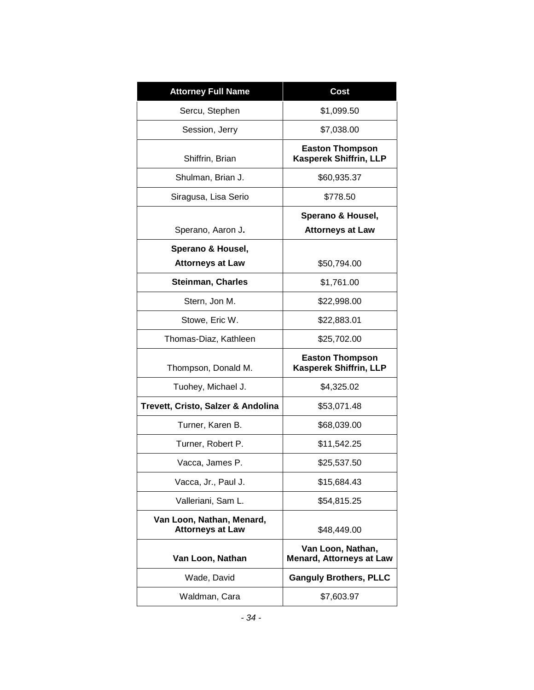| <b>Attorney Full Name</b>                            | Cost                                                    |
|------------------------------------------------------|---------------------------------------------------------|
| Sercu, Stephen                                       | \$1,099.50                                              |
| Session, Jerry                                       | \$7,038.00                                              |
| Shiffrin, Brian                                      | <b>Easton Thompson</b><br>Kasperek Shiffrin, LLP        |
| Shulman, Brian J.                                    | \$60,935.37                                             |
| Siragusa, Lisa Serio                                 | \$778.50                                                |
| Sperano, Aaron J.                                    | Sperano & Housel,<br><b>Attorneys at Law</b>            |
| Sperano & Housel,                                    |                                                         |
| <b>Attorneys at Law</b>                              | \$50,794.00                                             |
| <b>Steinman, Charles</b>                             | \$1,761.00                                              |
| Stern, Jon M.                                        | \$22,998.00                                             |
| Stowe, Eric W.                                       | \$22,883.01                                             |
| Thomas-Diaz, Kathleen                                | \$25,702.00                                             |
| Thompson, Donald M.                                  | <b>Easton Thompson</b><br><b>Kasperek Shiffrin, LLP</b> |
| Tuohey, Michael J.                                   | \$4,325.02                                              |
| Trevett, Cristo, Salzer & Andolina                   | \$53,071.48                                             |
| Turner, Karen B.                                     | \$68,039.00                                             |
| Turner, Robert P.                                    | \$11,542.25                                             |
| Vacca, James P.                                      | \$25,537.50                                             |
| Vacca, Jr., Paul J.                                  | \$15,684.43                                             |
| Valleriani, Sam L.                                   | \$54,815.25                                             |
| Van Loon, Nathan, Menard,<br><b>Attorneys at Law</b> | \$48,449.00                                             |
| Van Loon, Nathan                                     | Van Loon, Nathan,<br><b>Menard, Attorneys at Law</b>    |
| Wade, David                                          | <b>Ganguly Brothers, PLLC</b>                           |
| Waldman, Cara                                        | \$7,603.97                                              |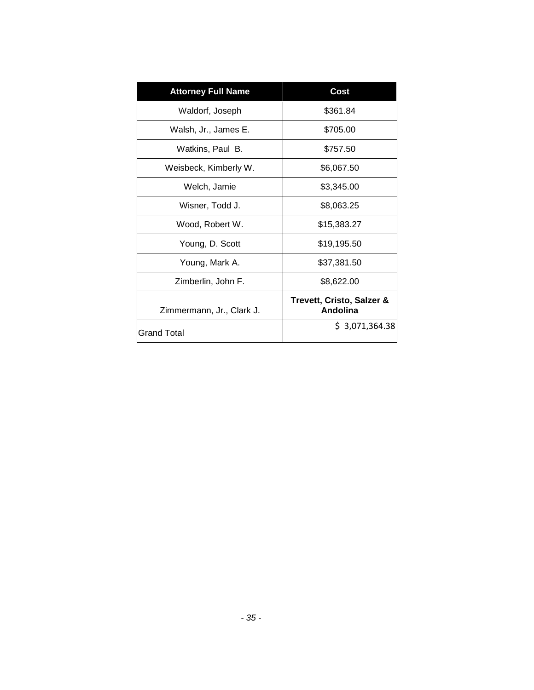| <b>Attorney Full Name</b> | Cost                                  |
|---------------------------|---------------------------------------|
| Waldorf, Joseph           | \$361.84                              |
| Walsh, Jr., James E.      | \$705.00                              |
| Watkins, Paul B.          | \$757.50                              |
| Weisbeck, Kimberly W.     | \$6,067.50                            |
| Welch, Jamie              | \$3,345.00                            |
| Wisner, Todd J.           | \$8,063.25                            |
| Wood, Robert W.           | \$15,383.27                           |
| Young, D. Scott           | \$19,195.50                           |
| Young, Mark A.            | \$37,381.50                           |
| Zimberlin, John F.        | \$8,622.00                            |
| Zimmermann, Jr., Clark J. | Trevett, Cristo, Salzer &<br>Andolina |
| <b>Grand Total</b>        | \$3,071,364.38                        |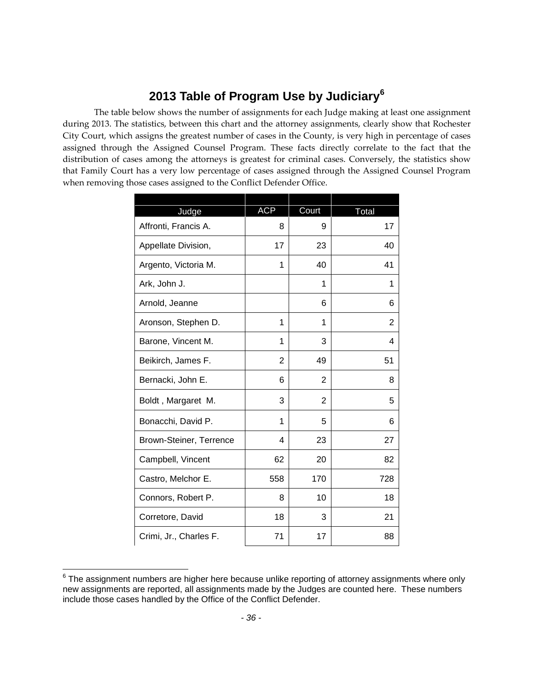### **2013 Table of Program Use by Judiciary[6](#page-37-0)**

The table below shows the number of assignments for each Judge making at least one assignment during 2013. The statistics, between this chart and the attorney assignments, clearly show that Rochester City Court, which assigns the greatest number of cases in the County, is very high in percentage of cases assigned through the Assigned Counsel Program. These facts directly correlate to the fact that the distribution of cases among the attorneys is greatest for criminal cases. Conversely, the statistics show that Family Court has a very low percentage of cases assigned through the Assigned Counsel Program when removing those cases assigned to the Conflict Defender Office.

| Judge                   | <b>ACP</b> | Court          | Total |
|-------------------------|------------|----------------|-------|
| Affronti, Francis A.    | 8          | 9              | 17    |
| Appellate Division,     | 17         | 23             | 40    |
| Argento, Victoria M.    | 1          | 40             | 41    |
| Ark, John J.            |            | 1              | 1     |
| Arnold, Jeanne          |            | 6              | 6     |
| Aronson, Stephen D.     | 1          | 1              | 2     |
| Barone, Vincent M.      | 1          | 3              | 4     |
| Beikirch, James F.      | 2          | 49             | 51    |
| Bernacki, John E.       | 6          | $\overline{2}$ | 8     |
| Boldt, Margaret M.      | 3          | $\overline{2}$ | 5     |
| Bonacchi, David P.      | 1          | 5              | 6     |
| Brown-Steiner, Terrence | 4          | 23             | 27    |
| Campbell, Vincent       | 62         | 20             | 82    |
| Castro, Melchor E.      | 558        | 170            | 728   |
| Connors, Robert P.      | 8          | 10             | 18    |
| Corretore, David        | 18         | 3              | 21    |
| Crimi, Jr., Charles F.  | 71         | 17             | 88    |

<span id="page-37-0"></span> $6$  The assignment numbers are higher here because unlike reporting of attorney assignments where only new assignments are reported, all assignments made by the Judges are counted here. These numbers include those cases handled by the Office of the Conflict Defender.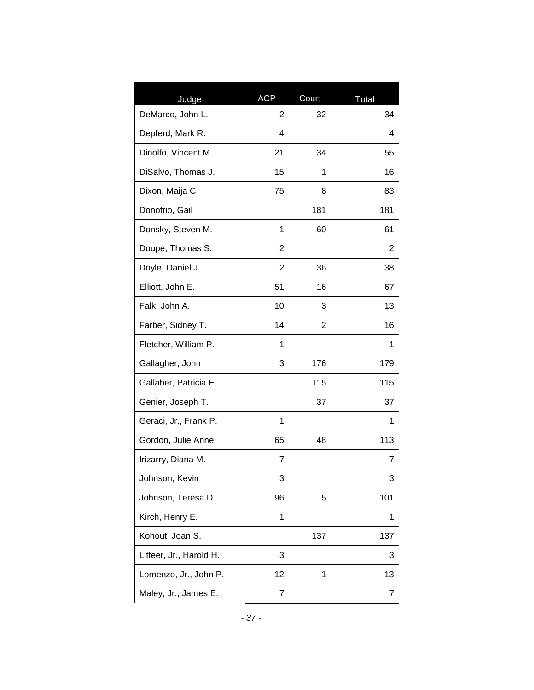| Judge                   | <b>ACP</b> | Court | Total |
|-------------------------|------------|-------|-------|
| DeMarco, John L.        | 2          | 32    | 34    |
| Depferd, Mark R.        | 4          |       | 4     |
| Dinolfo, Vincent M.     | 21         | 34    | 55    |
| DiSalvo, Thomas J.      | 15         | 1     | 16    |
| Dixon, Maija C.         | 75         | 8     | 83    |
| Donofrio, Gail          |            | 181   | 181   |
| Donsky, Steven M.       | 1          | 60    | 61    |
| Doupe, Thomas S.        | 2          |       | 2     |
| Doyle, Daniel J.        | 2          | 36    | 38    |
| Elliott, John E.        | 51         | 16    | 67    |
| Falk, John A.           | 10         | 3     | 13    |
| Farber, Sidney T.       | 14         | 2     | 16    |
| Fletcher, William P.    | 1          |       | 1     |
| Gallagher, John         | 3          | 176   | 179   |
| Gallaher, Patricia E.   |            | 115   | 115   |
| Genier, Joseph T.       |            | 37    | 37    |
| Geraci, Jr., Frank P.   | 1          |       | 1     |
| Gordon, Julie Anne      | 65         | 48    | 113   |
| Irizarry, Diana M.      | 7          |       | 7     |
| Johnson, Kevin          | 3          |       | 3     |
| Johnson, Teresa D.      | 96         | 5     | 101   |
| Kirch, Henry E.         | 1          |       | 1     |
| Kohout, Joan S.         |            | 137   | 137   |
| Litteer, Jr., Harold H. | 3          |       | 3     |
| Lomenzo, Jr., John P.   | 12         | 1     | 13    |
| Maley, Jr., James E.    | 7          |       | 7     |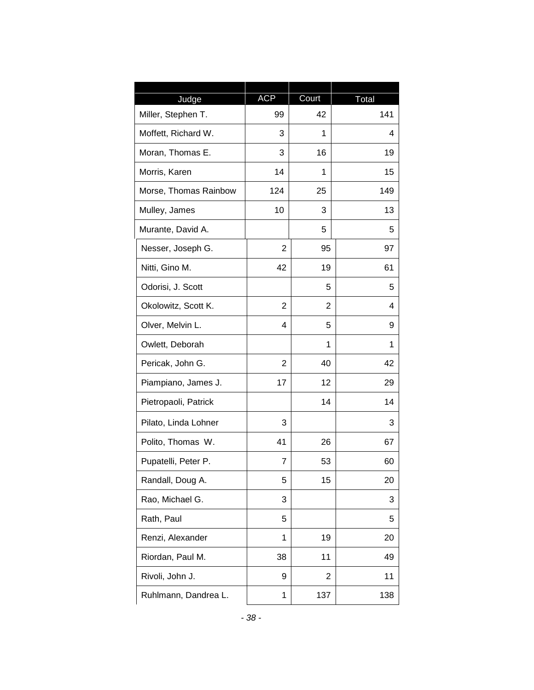| Judge                 | <b>ACP</b>     | Court | Total |
|-----------------------|----------------|-------|-------|
| Miller, Stephen T.    | 99             | 42    | 141   |
| Moffett, Richard W.   | 3              | 1     | 4     |
| Moran, Thomas E.      | 3              | 16    | 19    |
| Morris, Karen         | 14             | 1     | 15    |
| Morse, Thomas Rainbow | 124            | 25    | 149   |
| Mulley, James         | 10             | 3     | 13    |
| Murante, David A.     |                | 5     | 5     |
| Nesser, Joseph G.     | $\overline{2}$ | 95    | 97    |
| Nitti, Gino M.        | 42             | 19    | 61    |
| Odorisi, J. Scott     |                | 5     | 5     |
| Okolowitz, Scott K.   | 2              | 2     | 4     |
| Olver, Melvin L.      | 4              | 5     | 9     |
| Owlett, Deborah       |                | 1     | 1     |
| Pericak, John G.      | 2              | 40    | 42    |
| Piampiano, James J.   | 17             | 12    | 29    |
| Pietropaoli, Patrick  |                | 14    | 14    |
| Pilato, Linda Lohner  | 3              |       | 3     |
| Polito, Thomas W.     | 41             | 26    | 67    |
| Pupatelli, Peter P.   | 7              | 53    | 60    |
| Randall, Doug A.      | 5              | 15    | 20    |
| Rao, Michael G.       | 3              |       | 3     |
| Rath, Paul            | 5              |       | 5     |
| Renzi, Alexander      | 1              | 19    | 20    |
| Riordan, Paul M.      | 38             | 11    | 49    |
| Rivoli, John J.       | 9              | 2     | 11    |
| Ruhlmann, Dandrea L.  | 1              | 137   | 138   |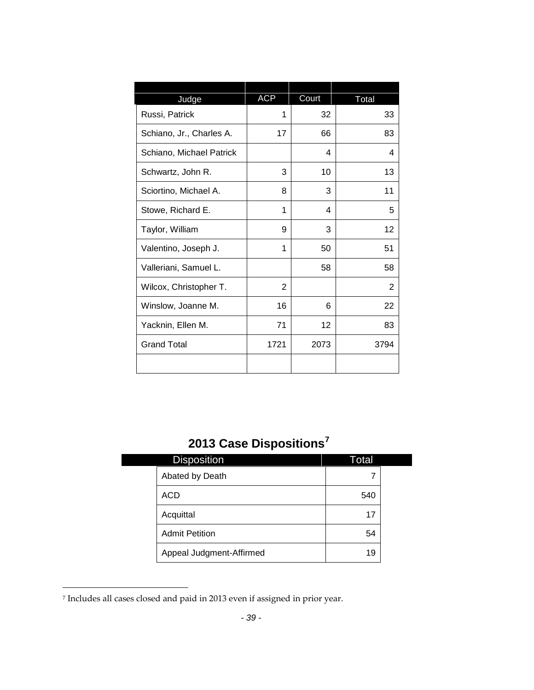| Judge                    | <b>ACP</b> | Court | Total |  |
|--------------------------|------------|-------|-------|--|
| Russi, Patrick           | 1          | 32    | 33    |  |
| Schiano, Jr., Charles A. | 17         | 66    | 83    |  |
| Schiano, Michael Patrick |            | 4     | 4     |  |
| Schwartz, John R.        | 3          | 10    | 13    |  |
| Sciortino, Michael A.    | 8          | 3     | 11    |  |
| Stowe, Richard E.        | 1          | 4     | 5     |  |
| Taylor, William          | 9          | 3     | 12    |  |
| Valentino, Joseph J.     | 1          | 50    | 51    |  |
| Valleriani, Samuel L.    |            | 58    | 58    |  |
| Wilcox, Christopher T.   | 2          |       | 2     |  |
| Winslow, Joanne M.       | 16         | 6     | 22    |  |
| Yacknin, Ellen M.        | 71         | 12    | 83    |  |
| <b>Grand Total</b>       | 1721       | 2073  | 3794  |  |
|                          |            |       |       |  |

# **2013 Case Dispositions[7](#page-40-0)**

| <b>Disposition</b>       | Total |  |
|--------------------------|-------|--|
| Abated by Death          |       |  |
| ACD                      | 540   |  |
| Acquittal                | 17    |  |
| <b>Admit Petition</b>    | 54    |  |
| Appeal Judgment-Affirmed | 19    |  |

<span id="page-40-0"></span><sup>7</sup> Includes all cases closed and paid in 2013 even if assigned in prior year.

l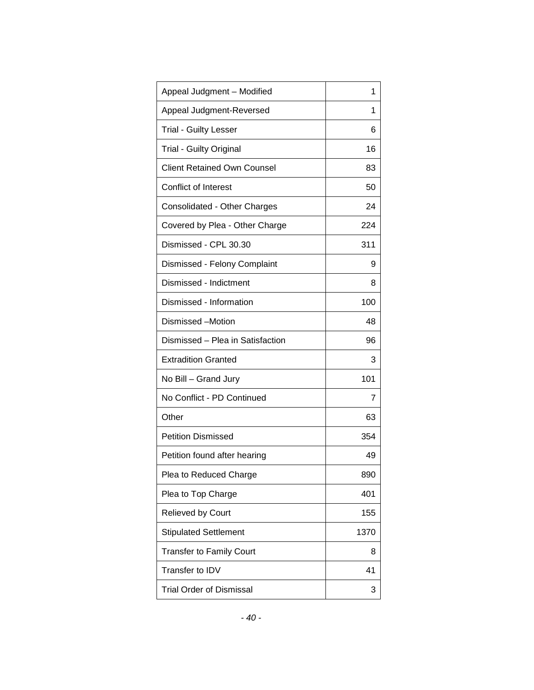| Appeal Judgment - Modified         | 1    |
|------------------------------------|------|
| Appeal Judgment-Reversed           | 1    |
| <b>Trial - Guilty Lesser</b>       | 6    |
| <b>Trial - Guilty Original</b>     | 16   |
| <b>Client Retained Own Counsel</b> | 83   |
| Conflict of Interest               | 50   |
| Consolidated - Other Charges       | 24   |
| Covered by Plea - Other Charge     | 224  |
| Dismissed - CPL 30.30              | 311  |
| Dismissed - Felony Complaint       | 9    |
| Dismissed - Indictment             | 8    |
| Dismissed - Information            | 100  |
| Dismissed -Motion                  | 48   |
| Dismissed - Plea in Satisfaction   | 96   |
| <b>Extradition Granted</b>         | 3    |
| No Bill - Grand Jury               | 101  |
| No Conflict - PD Continued         | 7    |
| Other                              | 63   |
| <b>Petition Dismissed</b>          | 354  |
| Petition found after hearing       | 49   |
| Plea to Reduced Charge             | 890  |
| Plea to Top Charge                 | 401  |
| Relieved by Court                  | 155  |
| <b>Stipulated Settlement</b>       | 1370 |
| <b>Transfer to Family Court</b>    | 8    |
| Transfer to IDV                    | 41   |
| <b>Trial Order of Dismissal</b>    | 3    |